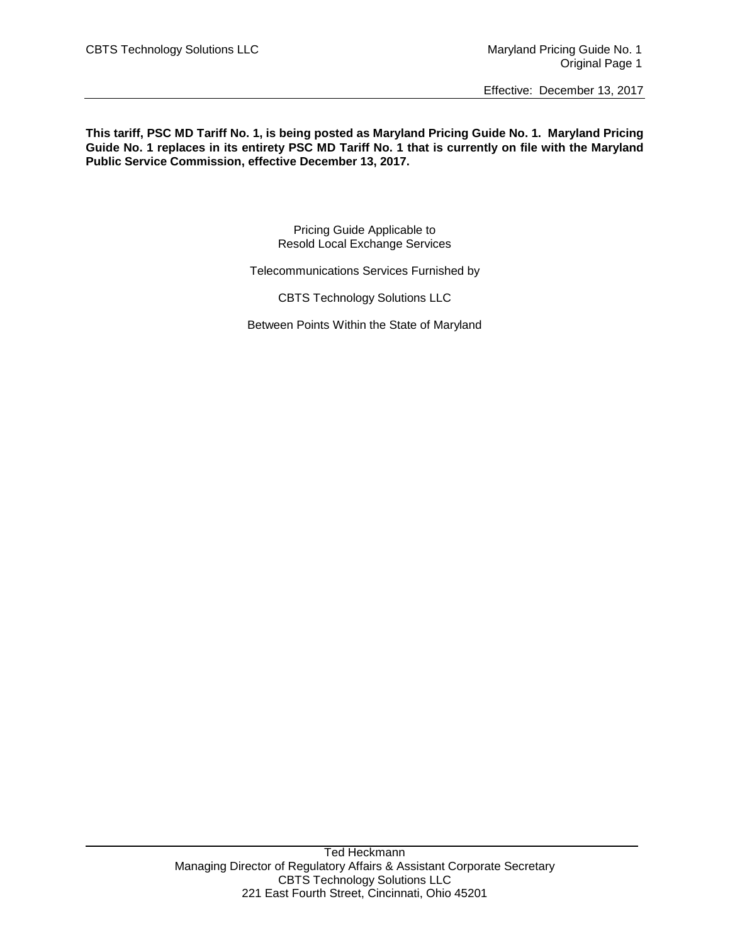**This tariff, PSC MD Tariff No. 1, is being posted as Maryland Pricing Guide No. 1. Maryland Pricing Guide No. 1 replaces in its entirety PSC MD Tariff No. 1 that is currently on file with the Maryland Public Service Commission, effective December 13, 2017.**

> Pricing Guide Applicable to Resold Local Exchange Services

Telecommunications Services Furnished by

CBTS Technology Solutions LLC

Between Points Within the State of Maryland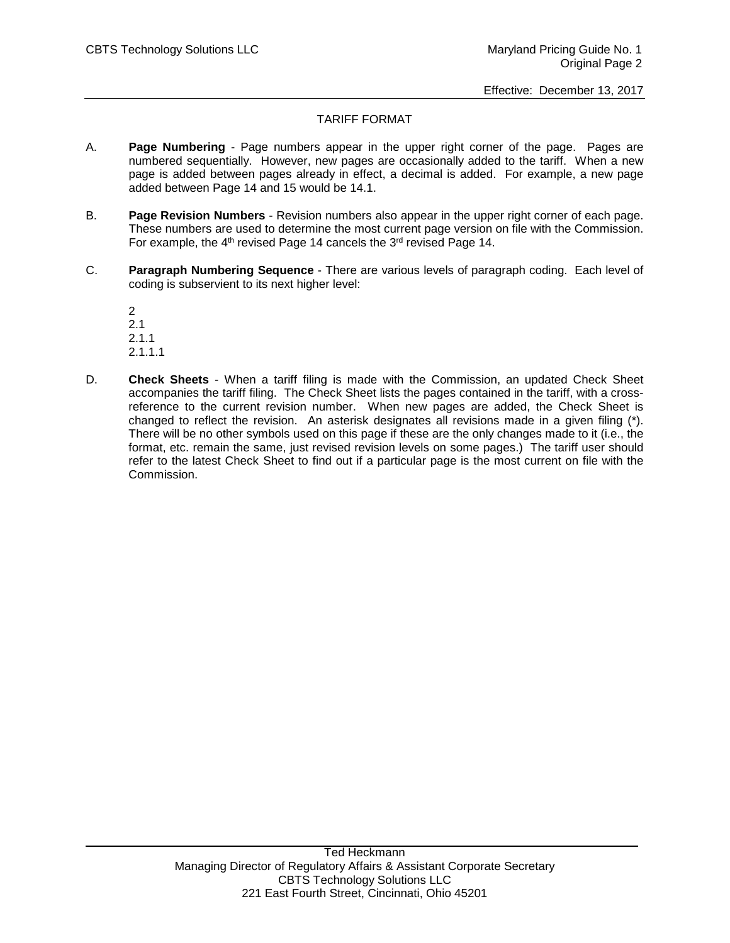# TARIFF FORMAT

- A. **Page Numbering** Page numbers appear in the upper right corner of the page. Pages are numbered sequentially. However, new pages are occasionally added to the tariff. When a new page is added between pages already in effect, a decimal is added. For example, a new page added between Page 14 and 15 would be 14.1.
- B. **Page Revision Numbers** Revision numbers also appear in the upper right corner of each page. These numbers are used to determine the most current page version on file with the Commission. For example, the  $4<sup>th</sup>$  revised Page 14 cancels the  $3<sup>rd</sup>$  revised Page 14.
- C. **Paragraph Numbering Sequence** There are various levels of paragraph coding. Each level of coding is subservient to its next higher level:

2 2.1 2.1.1 2.1.1.1

D. **Check Sheets** - When a tariff filing is made with the Commission, an updated Check Sheet accompanies the tariff filing. The Check Sheet lists the pages contained in the tariff, with a crossreference to the current revision number. When new pages are added, the Check Sheet is changed to reflect the revision. An asterisk designates all revisions made in a given filing (\*). There will be no other symbols used on this page if these are the only changes made to it (i.e., the format, etc. remain the same, just revised revision levels on some pages.) The tariff user should refer to the latest Check Sheet to find out if a particular page is the most current on file with the Commission.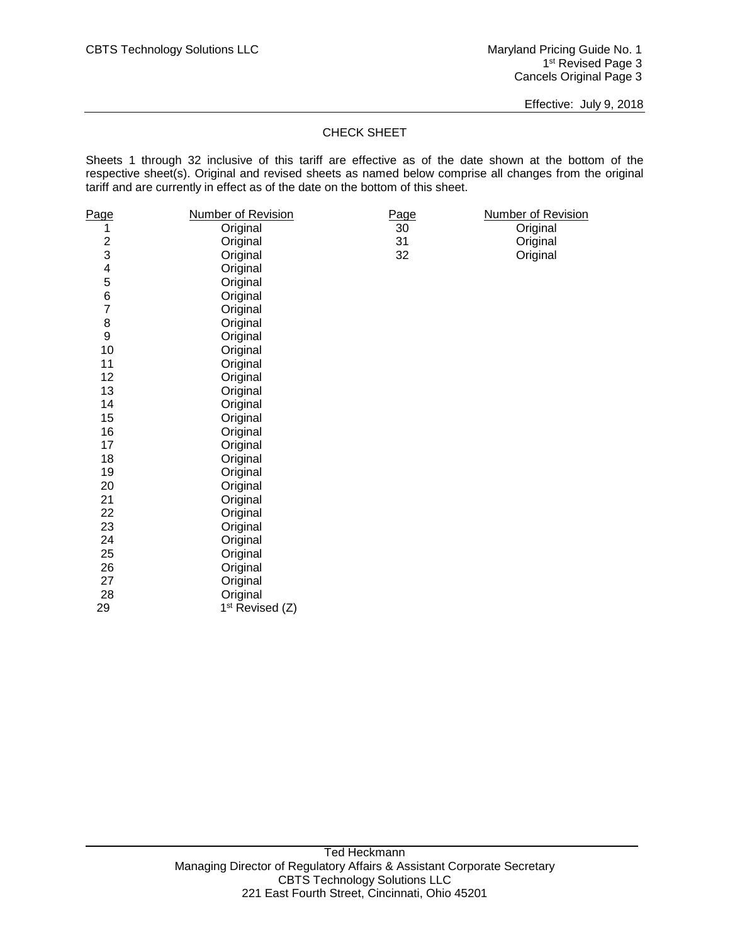Effective: July 9, 2018

# CHECK SHEET

Sheets 1 through 32 inclusive of this tariff are effective as of the date shown at the bottom of the respective sheet(s). Original and revised sheets as named below comprise all changes from the original tariff and are currently in effect as of the date on the bottom of this sheet.

| <u>Page</u>             | <u>Number of Revision</u>   | Page | <b>Number of Revision</b> |
|-------------------------|-----------------------------|------|---------------------------|
| 1                       | Original                    | 30   | Original                  |
| $\overline{c}$          | Original                    | 31   | Original                  |
| 3                       | Original                    | 32   | Original                  |
| $\overline{\mathbf{4}}$ | Original                    |      |                           |
| 5                       | Original                    |      |                           |
| 6                       | Original                    |      |                           |
| $\overline{7}$          | Original                    |      |                           |
| 8                       | Original                    |      |                           |
| $\boldsymbol{9}$        | Original                    |      |                           |
| 10                      | Original                    |      |                           |
| 11                      | Original                    |      |                           |
| 12                      | Original                    |      |                           |
| 13                      | Original                    |      |                           |
| 14                      | Original                    |      |                           |
| 15                      | Original                    |      |                           |
| 16                      | Original                    |      |                           |
| 17                      | Original                    |      |                           |
| 18                      | Original                    |      |                           |
| 19                      | Original                    |      |                           |
| 20                      | Original                    |      |                           |
| 21                      | Original                    |      |                           |
| 22                      | Original                    |      |                           |
| 23                      | Original                    |      |                           |
| 24                      | Original                    |      |                           |
| 25                      | Original                    |      |                           |
| 26                      | Original                    |      |                           |
| 27                      | Original                    |      |                           |
| 28                      | Original                    |      |                           |
| 29                      | 1 <sup>st</sup> Revised (Z) |      |                           |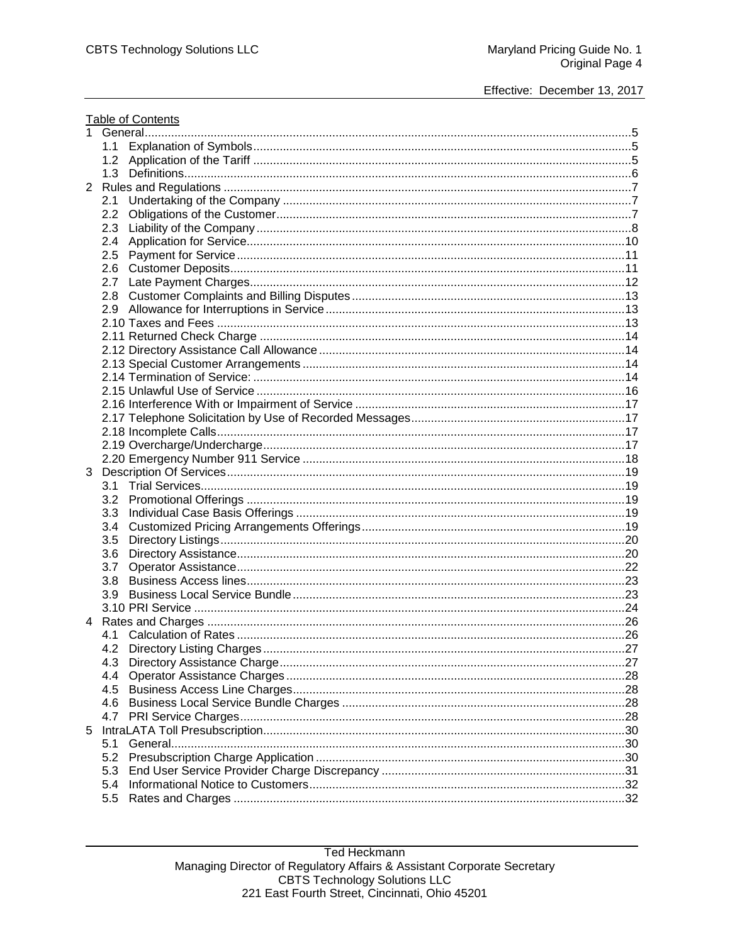|   | <b>Table of Contents</b> |  |  |
|---|--------------------------|--|--|
| 1 |                          |  |  |
|   | 1.1                      |  |  |
|   |                          |  |  |
|   | 1.3                      |  |  |
|   |                          |  |  |
|   | 2.1                      |  |  |
|   | 2.2                      |  |  |
|   | 2.3                      |  |  |
|   | 2.4                      |  |  |
|   | 2.5                      |  |  |
|   | 2.6                      |  |  |
|   | 2.7                      |  |  |
|   |                          |  |  |
|   |                          |  |  |
|   |                          |  |  |
|   |                          |  |  |
|   |                          |  |  |
|   |                          |  |  |
|   |                          |  |  |
|   |                          |  |  |
|   |                          |  |  |
|   |                          |  |  |
|   |                          |  |  |
|   |                          |  |  |
|   |                          |  |  |
|   |                          |  |  |
|   |                          |  |  |
|   |                          |  |  |
|   |                          |  |  |
|   |                          |  |  |
|   | 3.5                      |  |  |
|   | 3.6                      |  |  |
|   | 3.7                      |  |  |
|   |                          |  |  |
|   | 3.9                      |  |  |
|   |                          |  |  |
|   |                          |  |  |
|   |                          |  |  |
|   | 4.2                      |  |  |
|   | 4.3                      |  |  |
|   | 4.4                      |  |  |
|   | 4.5                      |  |  |
|   | 4.6                      |  |  |
|   | 4.7                      |  |  |
| 5 |                          |  |  |
|   | 5.1                      |  |  |
|   | 5.2                      |  |  |
|   | 5.3                      |  |  |
|   | 5.4                      |  |  |
|   | 5.5                      |  |  |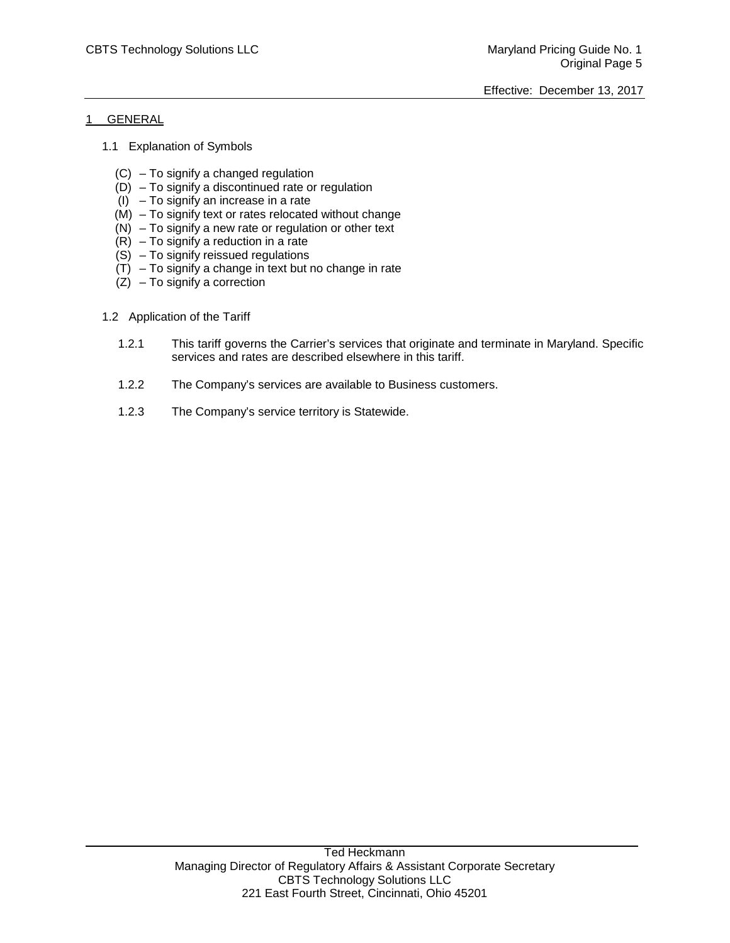# 1 GENERAL

- 1.1 Explanation of Symbols
	- (C) To signify a changed regulation
	- (D) To signify a discontinued rate or regulation
	- $(1)$  To signify an increase in a rate
	- (M) To signify text or rates relocated without change
	- (N) To signify a new rate or regulation or other text
	- $(R)$  To signify a reduction in a rate
	- $(S)$  To signify reissued regulations
	- $(T)$  To signify a change in text but no change in rate
	- $(Z)$  To signify a correction

# 1.2 Application of the Tariff

- 1.2.1 This tariff governs the Carrier's services that originate and terminate in Maryland. Specific services and rates are described elsewhere in this tariff.
- 1.2.2 The Company's services are available to Business customers.
- 1.2.3 The Company's service territory is Statewide.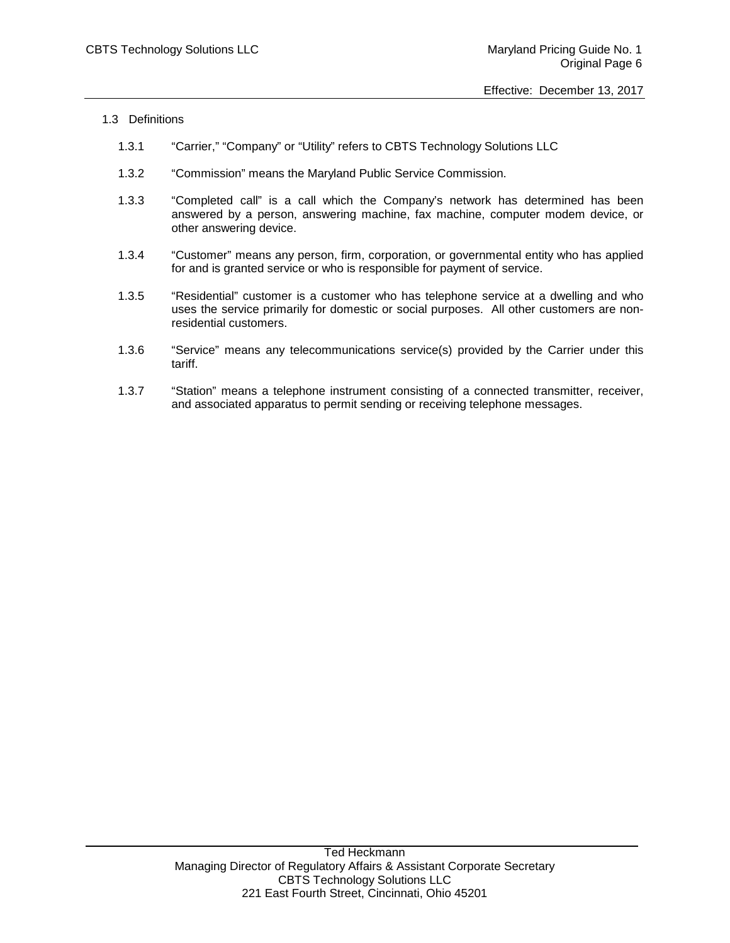- 1.3 Definitions
	- 1.3.1 "Carrier," "Company" or "Utility" refers to CBTS Technology Solutions LLC
	- 1.3.2 "Commission" means the Maryland Public Service Commission.
	- 1.3.3 "Completed call" is a call which the Company's network has determined has been answered by a person, answering machine, fax machine, computer modem device, or other answering device.
	- 1.3.4 "Customer" means any person, firm, corporation, or governmental entity who has applied for and is granted service or who is responsible for payment of service.
	- 1.3.5 "Residential" customer is a customer who has telephone service at a dwelling and who uses the service primarily for domestic or social purposes. All other customers are nonresidential customers.
	- 1.3.6 "Service" means any telecommunications service(s) provided by the Carrier under this tariff.
	- 1.3.7 "Station" means a telephone instrument consisting of a connected transmitter, receiver, and associated apparatus to permit sending or receiving telephone messages.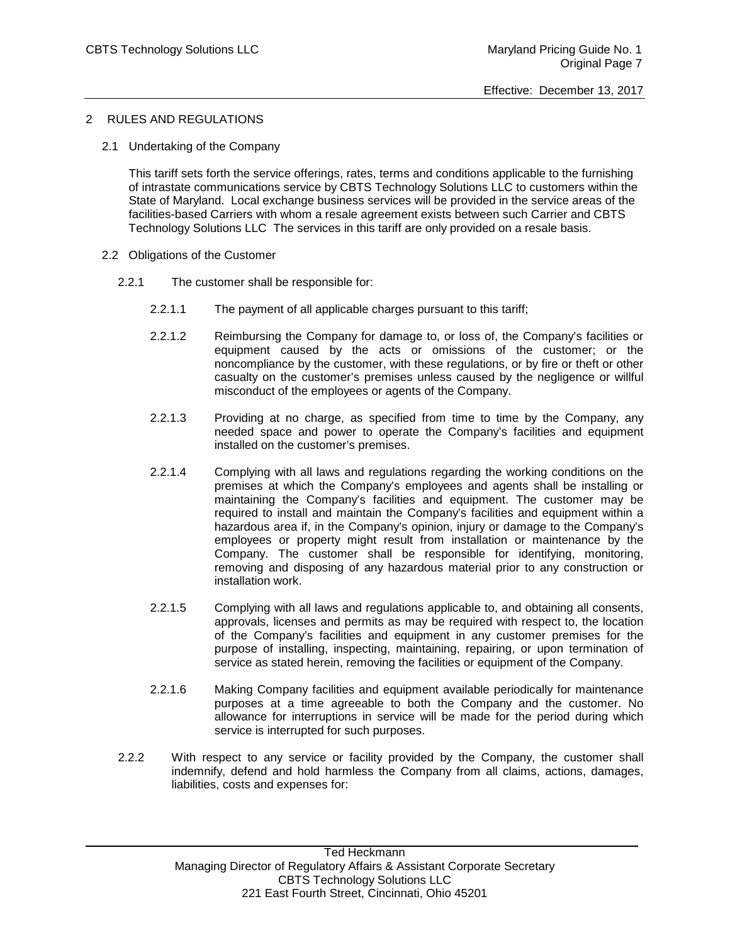# 2 RULES AND REGULATIONS

2.1 Undertaking of the Company

This tariff sets forth the service offerings, rates, terms and conditions applicable to the furnishing of intrastate communications service by CBTS Technology Solutions LLC to customers within the State of Maryland. Local exchange business services will be provided in the service areas of the facilities-based Carriers with whom a resale agreement exists between such Carrier and CBTS Technology Solutions LLC The services in this tariff are only provided on a resale basis.

- 2.2 Obligations of the Customer
	- 2.2.1 The customer shall be responsible for:
		- 2.2.1.1 The payment of all applicable charges pursuant to this tariff;
		- 2.2.1.2 Reimbursing the Company for damage to, or loss of, the Company's facilities or equipment caused by the acts or omissions of the customer; or the noncompliance by the customer, with these regulations, or by fire or theft or other casualty on the customer's premises unless caused by the negligence or willful misconduct of the employees or agents of the Company.
		- 2.2.1.3 Providing at no charge, as specified from time to time by the Company, any needed space and power to operate the Company's facilities and equipment installed on the customer's premises.
		- 2.2.1.4 Complying with all laws and regulations regarding the working conditions on the premises at which the Company's employees and agents shall be installing or maintaining the Company's facilities and equipment. The customer may be required to install and maintain the Company's facilities and equipment within a hazardous area if, in the Company's opinion, injury or damage to the Company's employees or property might result from installation or maintenance by the Company. The customer shall be responsible for identifying, monitoring, removing and disposing of any hazardous material prior to any construction or installation work.
		- 2.2.1.5 Complying with all laws and regulations applicable to, and obtaining all consents, approvals, licenses and permits as may be required with respect to, the location of the Company's facilities and equipment in any customer premises for the purpose of installing, inspecting, maintaining, repairing, or upon termination of service as stated herein, removing the facilities or equipment of the Company.
		- 2.2.1.6 Making Company facilities and equipment available periodically for maintenance purposes at a time agreeable to both the Company and the customer. No allowance for interruptions in service will be made for the period during which service is interrupted for such purposes.
	- 2.2.2 With respect to any service or facility provided by the Company, the customer shall indemnify, defend and hold harmless the Company from all claims, actions, damages, liabilities, costs and expenses for: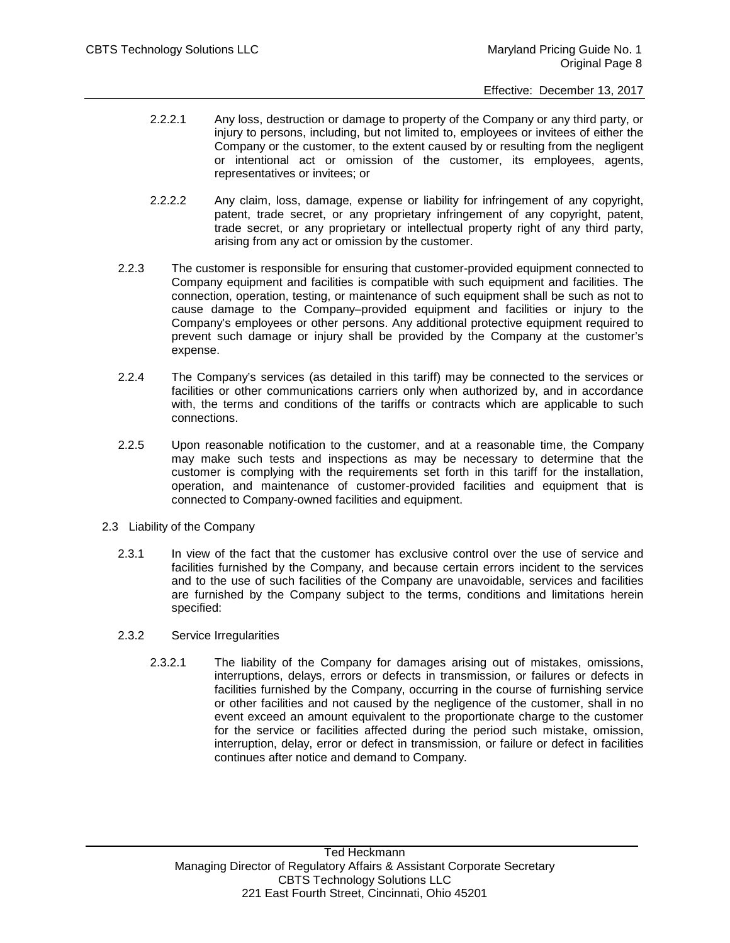- 2.2.2.1 Any loss, destruction or damage to property of the Company or any third party, or injury to persons, including, but not limited to, employees or invitees of either the Company or the customer, to the extent caused by or resulting from the negligent or intentional act or omission of the customer, its employees, agents, representatives or invitees; or
- 2.2.2.2 Any claim, loss, damage, expense or liability for infringement of any copyright, patent, trade secret, or any proprietary infringement of any copyright, patent, trade secret, or any proprietary or intellectual property right of any third party, arising from any act or omission by the customer.
- 2.2.3 The customer is responsible for ensuring that customer-provided equipment connected to Company equipment and facilities is compatible with such equipment and facilities. The connection, operation, testing, or maintenance of such equipment shall be such as not to cause damage to the Company–provided equipment and facilities or injury to the Company's employees or other persons. Any additional protective equipment required to prevent such damage or injury shall be provided by the Company at the customer's expense.
- 2.2.4 The Company's services (as detailed in this tariff) may be connected to the services or facilities or other communications carriers only when authorized by, and in accordance with, the terms and conditions of the tariffs or contracts which are applicable to such connections.
- 2.2.5 Upon reasonable notification to the customer, and at a reasonable time, the Company may make such tests and inspections as may be necessary to determine that the customer is complying with the requirements set forth in this tariff for the installation, operation, and maintenance of customer-provided facilities and equipment that is connected to Company-owned facilities and equipment.
- 2.3 Liability of the Company
	- 2.3.1 In view of the fact that the customer has exclusive control over the use of service and facilities furnished by the Company, and because certain errors incident to the services and to the use of such facilities of the Company are unavoidable, services and facilities are furnished by the Company subject to the terms, conditions and limitations herein specified:
	- 2.3.2 Service Irregularities
		- 2.3.2.1 The liability of the Company for damages arising out of mistakes, omissions, interruptions, delays, errors or defects in transmission, or failures or defects in facilities furnished by the Company, occurring in the course of furnishing service or other facilities and not caused by the negligence of the customer, shall in no event exceed an amount equivalent to the proportionate charge to the customer for the service or facilities affected during the period such mistake, omission, interruption, delay, error or defect in transmission, or failure or defect in facilities continues after notice and demand to Company.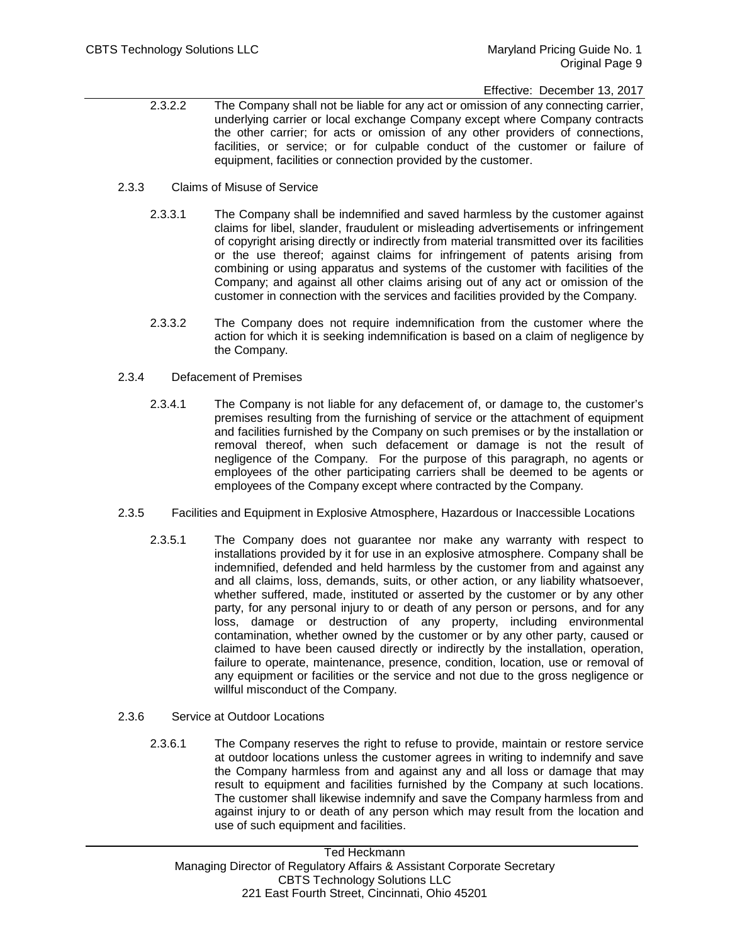# Effective: December 13, 2017

- 2.3.2.2 The Company shall not be liable for any act or omission of any connecting carrier, underlying carrier or local exchange Company except where Company contracts the other carrier; for acts or omission of any other providers of connections, facilities, or service; or for culpable conduct of the customer or failure of equipment, facilities or connection provided by the customer.
- 2.3.3 Claims of Misuse of Service
	- 2.3.3.1 The Company shall be indemnified and saved harmless by the customer against claims for libel, slander, fraudulent or misleading advertisements or infringement of copyright arising directly or indirectly from material transmitted over its facilities or the use thereof; against claims for infringement of patents arising from combining or using apparatus and systems of the customer with facilities of the Company; and against all other claims arising out of any act or omission of the customer in connection with the services and facilities provided by the Company.
	- 2.3.3.2 The Company does not require indemnification from the customer where the action for which it is seeking indemnification is based on a claim of negligence by the Company.
- 2.3.4 Defacement of Premises
	- 2.3.4.1 The Company is not liable for any defacement of, or damage to, the customer's premises resulting from the furnishing of service or the attachment of equipment and facilities furnished by the Company on such premises or by the installation or removal thereof, when such defacement or damage is not the result of negligence of the Company. For the purpose of this paragraph, no agents or employees of the other participating carriers shall be deemed to be agents or employees of the Company except where contracted by the Company.
- 2.3.5 Facilities and Equipment in Explosive Atmosphere, Hazardous or Inaccessible Locations
	- 2.3.5.1 The Company does not guarantee nor make any warranty with respect to installations provided by it for use in an explosive atmosphere. Company shall be indemnified, defended and held harmless by the customer from and against any and all claims, loss, demands, suits, or other action, or any liability whatsoever, whether suffered, made, instituted or asserted by the customer or by any other party, for any personal injury to or death of any person or persons, and for any loss, damage or destruction of any property, including environmental contamination, whether owned by the customer or by any other party, caused or claimed to have been caused directly or indirectly by the installation, operation, failure to operate, maintenance, presence, condition, location, use or removal of any equipment or facilities or the service and not due to the gross negligence or willful misconduct of the Company.
- 2.3.6 Service at Outdoor Locations
	- 2.3.6.1 The Company reserves the right to refuse to provide, maintain or restore service at outdoor locations unless the customer agrees in writing to indemnify and save the Company harmless from and against any and all loss or damage that may result to equipment and facilities furnished by the Company at such locations. The customer shall likewise indemnify and save the Company harmless from and against injury to or death of any person which may result from the location and use of such equipment and facilities.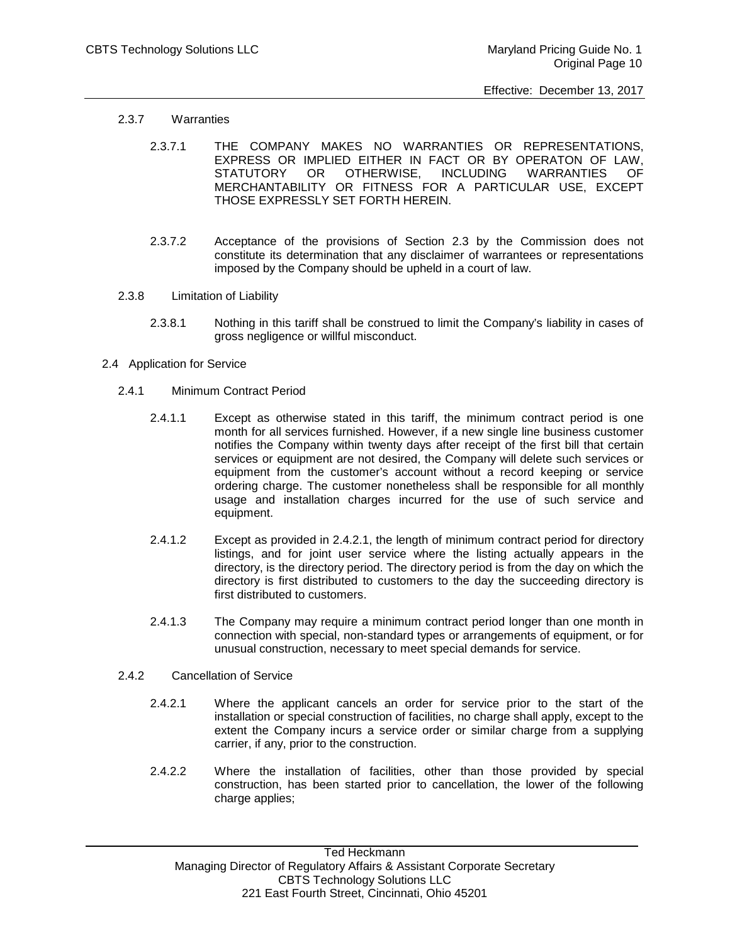- 2.3.7 Warranties
	- 2.3.7.1 THE COMPANY MAKES NO WARRANTIES OR REPRESENTATIONS, EXPRESS OR IMPLIED EITHER IN FACT OR BY OPERATON OF LAW, STATUTORY OR OTHERWISE, INCLUDING WARRANTIES OF MERCHANTABILITY OR FITNESS FOR A PARTICULAR USE, EXCEPT THOSE EXPRESSLY SET FORTH HEREIN.
	- 2.3.7.2 Acceptance of the provisions of Section 2.3 by the Commission does not constitute its determination that any disclaimer of warrantees or representations imposed by the Company should be upheld in a court of law.
- 2.3.8 Limitation of Liability
	- 2.3.8.1 Nothing in this tariff shall be construed to limit the Company's liability in cases of gross negligence or willful misconduct.
- 2.4 Application for Service
	- 2.4.1 Minimum Contract Period
		- 2.4.1.1 Except as otherwise stated in this tariff, the minimum contract period is one month for all services furnished. However, if a new single line business customer notifies the Company within twenty days after receipt of the first bill that certain services or equipment are not desired, the Company will delete such services or equipment from the customer's account without a record keeping or service ordering charge. The customer nonetheless shall be responsible for all monthly usage and installation charges incurred for the use of such service and equipment.
		- 2.4.1.2 Except as provided in 2.4.2.1, the length of minimum contract period for directory listings, and for joint user service where the listing actually appears in the directory, is the directory period. The directory period is from the day on which the directory is first distributed to customers to the day the succeeding directory is first distributed to customers.
		- 2.4.1.3 The Company may require a minimum contract period longer than one month in connection with special, non-standard types or arrangements of equipment, or for unusual construction, necessary to meet special demands for service.
	- 2.4.2 Cancellation of Service
		- 2.4.2.1 Where the applicant cancels an order for service prior to the start of the installation or special construction of facilities, no charge shall apply, except to the extent the Company incurs a service order or similar charge from a supplying carrier, if any, prior to the construction.
		- 2.4.2.2 Where the installation of facilities, other than those provided by special construction, has been started prior to cancellation, the lower of the following charge applies;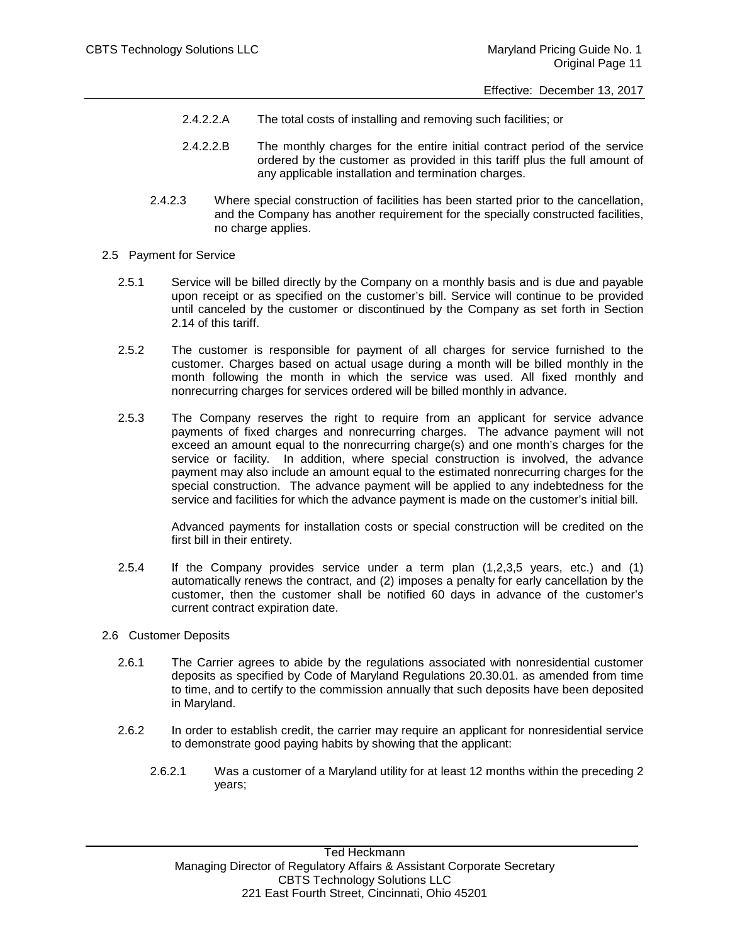- 2.4.2.2.A The total costs of installing and removing such facilities; or
- 2.4.2.2.B The monthly charges for the entire initial contract period of the service ordered by the customer as provided in this tariff plus the full amount of any applicable installation and termination charges.
- 2.4.2.3 Where special construction of facilities has been started prior to the cancellation, and the Company has another requirement for the specially constructed facilities, no charge applies.
- 2.5 Payment for Service
	- 2.5.1 Service will be billed directly by the Company on a monthly basis and is due and payable upon receipt or as specified on the customer's bill. Service will continue to be provided until canceled by the customer or discontinued by the Company as set forth in Section 2.14 of this tariff.
	- 2.5.2 The customer is responsible for payment of all charges for service furnished to the customer. Charges based on actual usage during a month will be billed monthly in the month following the month in which the service was used. All fixed monthly and nonrecurring charges for services ordered will be billed monthly in advance.
	- 2.5.3 The Company reserves the right to require from an applicant for service advance payments of fixed charges and nonrecurring charges. The advance payment will not exceed an amount equal to the nonrecurring charge(s) and one month's charges for the service or facility. In addition, where special construction is involved, the advance payment may also include an amount equal to the estimated nonrecurring charges for the special construction. The advance payment will be applied to any indebtedness for the service and facilities for which the advance payment is made on the customer's initial bill.

Advanced payments for installation costs or special construction will be credited on the first bill in their entirety.

- 2.5.4 If the Company provides service under a term plan (1,2,3,5 years, etc.) and (1) automatically renews the contract, and (2) imposes a penalty for early cancellation by the customer, then the customer shall be notified 60 days in advance of the customer's current contract expiration date.
- 2.6 Customer Deposits
	- 2.6.1 The Carrier agrees to abide by the regulations associated with nonresidential customer deposits as specified by Code of Maryland Regulations 20.30.01. as amended from time to time, and to certify to the commission annually that such deposits have been deposited in Maryland.
	- 2.6.2 In order to establish credit, the carrier may require an applicant for nonresidential service to demonstrate good paying habits by showing that the applicant:
		- 2.6.2.1 Was a customer of a Maryland utility for at least 12 months within the preceding 2 years;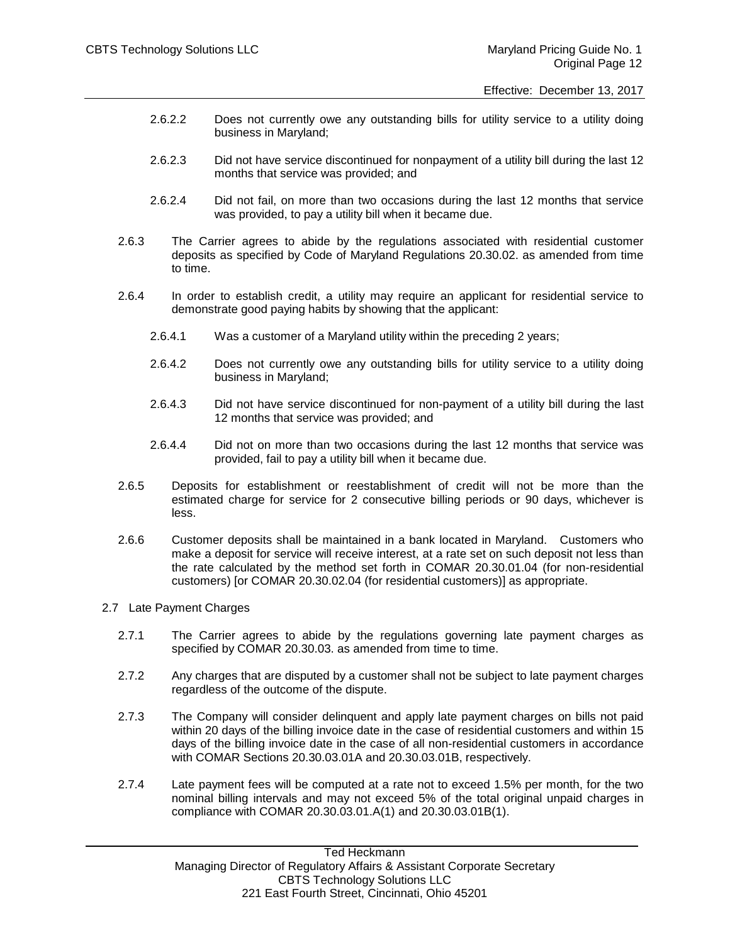- 2.6.2.2 Does not currently owe any outstanding bills for utility service to a utility doing business in Maryland;
- 2.6.2.3 Did not have service discontinued for nonpayment of a utility bill during the last 12 months that service was provided; and
- 2.6.2.4 Did not fail, on more than two occasions during the last 12 months that service was provided, to pay a utility bill when it became due.
- 2.6.3 The Carrier agrees to abide by the regulations associated with residential customer deposits as specified by Code of Maryland Regulations 20.30.02. as amended from time to time.
- 2.6.4 In order to establish credit, a utility may require an applicant for residential service to demonstrate good paying habits by showing that the applicant:
	- 2.6.4.1 Was a customer of a Maryland utility within the preceding 2 years;
	- 2.6.4.2 Does not currently owe any outstanding bills for utility service to a utility doing business in Maryland;
	- 2.6.4.3 Did not have service discontinued for non-payment of a utility bill during the last 12 months that service was provided; and
	- 2.6.4.4 Did not on more than two occasions during the last 12 months that service was provided, fail to pay a utility bill when it became due.
- 2.6.5 Deposits for establishment or reestablishment of credit will not be more than the estimated charge for service for 2 consecutive billing periods or 90 days, whichever is less.
- 2.6.6 Customer deposits shall be maintained in a bank located in Maryland. Customers who make a deposit for service will receive interest, at a rate set on such deposit not less than the rate calculated by the method set forth in COMAR 20.30.01.04 (for non-residential customers) [or COMAR 20.30.02.04 (for residential customers)] as appropriate.

#### 2.7 Late Payment Charges

- 2.7.1 The Carrier agrees to abide by the regulations governing late payment charges as specified by COMAR 20.30.03. as amended from time to time.
- 2.7.2 Any charges that are disputed by a customer shall not be subject to late payment charges regardless of the outcome of the dispute.
- 2.7.3 The Company will consider delinquent and apply late payment charges on bills not paid within 20 days of the billing invoice date in the case of residential customers and within 15 days of the billing invoice date in the case of all non-residential customers in accordance with COMAR Sections 20.30.03.01A and 20.30.03.01B, respectively.
- 2.7.4 Late payment fees will be computed at a rate not to exceed 1.5% per month, for the two nominal billing intervals and may not exceed 5% of the total original unpaid charges in compliance with COMAR 20.30.03.01.A(1) and 20.30.03.01B(1).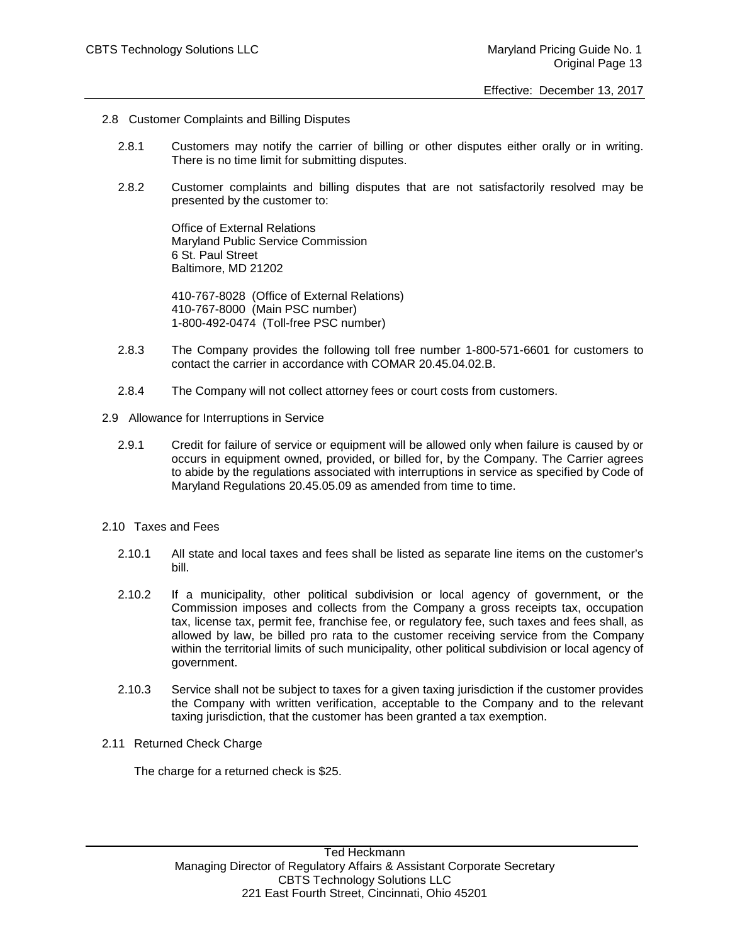- 2.8 Customer Complaints and Billing Disputes
	- 2.8.1 Customers may notify the carrier of billing or other disputes either orally or in writing. There is no time limit for submitting disputes.
	- 2.8.2 Customer complaints and billing disputes that are not satisfactorily resolved may be presented by the customer to:

Office of External Relations Maryland Public Service Commission 6 St. Paul Street Baltimore, MD 21202

410-767-8028 (Office of External Relations) 410-767-8000 (Main PSC number) 1-800-492-0474 (Toll-free PSC number)

- 2.8.3 The Company provides the following toll free number 1-800-571-6601 for customers to contact the carrier in accordance with COMAR 20.45.04.02.B.
- 2.8.4 The Company will not collect attorney fees or court costs from customers.
- 2.9 Allowance for Interruptions in Service
	- 2.9.1 Credit for failure of service or equipment will be allowed only when failure is caused by or occurs in equipment owned, provided, or billed for, by the Company. The Carrier agrees to abide by the regulations associated with interruptions in service as specified by Code of Maryland Regulations 20.45.05.09 as amended from time to time.
- 2.10 Taxes and Fees
	- 2.10.1 All state and local taxes and fees shall be listed as separate line items on the customer's bill.
	- 2.10.2 If a municipality, other political subdivision or local agency of government, or the Commission imposes and collects from the Company a gross receipts tax, occupation tax, license tax, permit fee, franchise fee, or regulatory fee, such taxes and fees shall, as allowed by law, be billed pro rata to the customer receiving service from the Company within the territorial limits of such municipality, other political subdivision or local agency of government.
	- 2.10.3 Service shall not be subject to taxes for a given taxing jurisdiction if the customer provides the Company with written verification, acceptable to the Company and to the relevant taxing jurisdiction, that the customer has been granted a tax exemption.
- 2.11 Returned Check Charge

The charge for a returned check is \$25.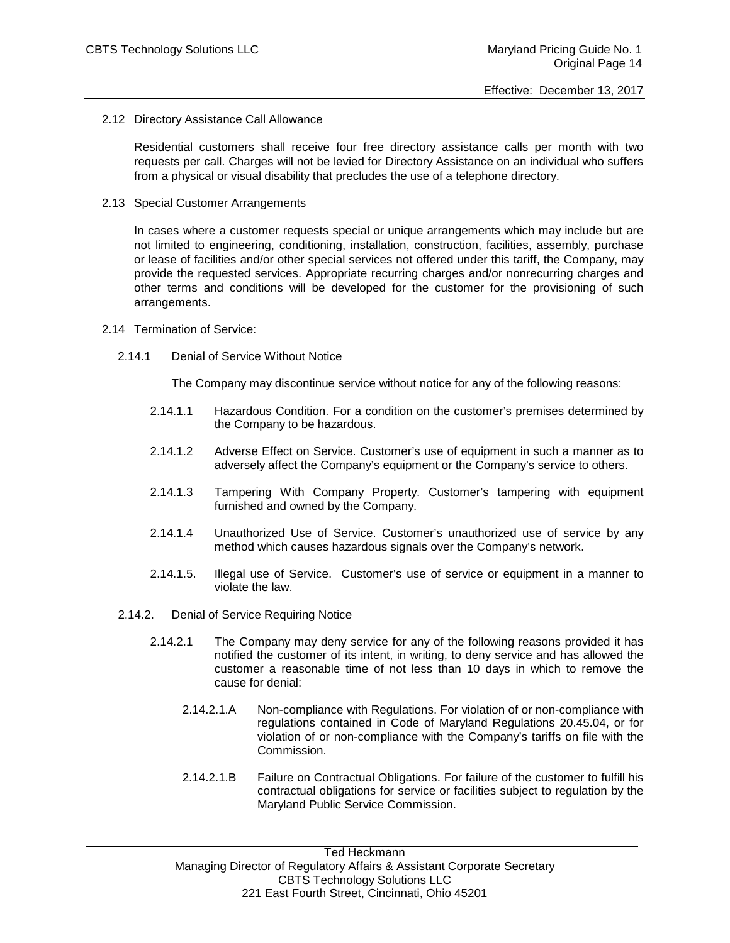2.12 Directory Assistance Call Allowance

Residential customers shall receive four free directory assistance calls per month with two requests per call. Charges will not be levied for Directory Assistance on an individual who suffers from a physical or visual disability that precludes the use of a telephone directory.

2.13 Special Customer Arrangements

In cases where a customer requests special or unique arrangements which may include but are not limited to engineering, conditioning, installation, construction, facilities, assembly, purchase or lease of facilities and/or other special services not offered under this tariff, the Company, may provide the requested services. Appropriate recurring charges and/or nonrecurring charges and other terms and conditions will be developed for the customer for the provisioning of such arrangements.

- 2.14 Termination of Service:
	- 2.14.1 Denial of Service Without Notice

The Company may discontinue service without notice for any of the following reasons:

- 2.14.1.1 Hazardous Condition. For a condition on the customer's premises determined by the Company to be hazardous.
- 2.14.1.2 Adverse Effect on Service. Customer's use of equipment in such a manner as to adversely affect the Company's equipment or the Company's service to others.
- 2.14.1.3 Tampering With Company Property. Customer's tampering with equipment furnished and owned by the Company.
- 2.14.1.4 Unauthorized Use of Service. Customer's unauthorized use of service by any method which causes hazardous signals over the Company's network.
- 2.14.1.5. Illegal use of Service. Customer's use of service or equipment in a manner to violate the law.
- 2.14.2. Denial of Service Requiring Notice
	- 2.14.2.1 The Company may deny service for any of the following reasons provided it has notified the customer of its intent, in writing, to deny service and has allowed the customer a reasonable time of not less than 10 days in which to remove the cause for denial:
		- 2.14.2.1.A Non-compliance with Regulations. For violation of or non-compliance with regulations contained in Code of Maryland Regulations 20.45.04, or for violation of or non-compliance with the Company's tariffs on file with the Commission.
		- 2.14.2.1.B Failure on Contractual Obligations. For failure of the customer to fulfill his contractual obligations for service or facilities subject to regulation by the Maryland Public Service Commission.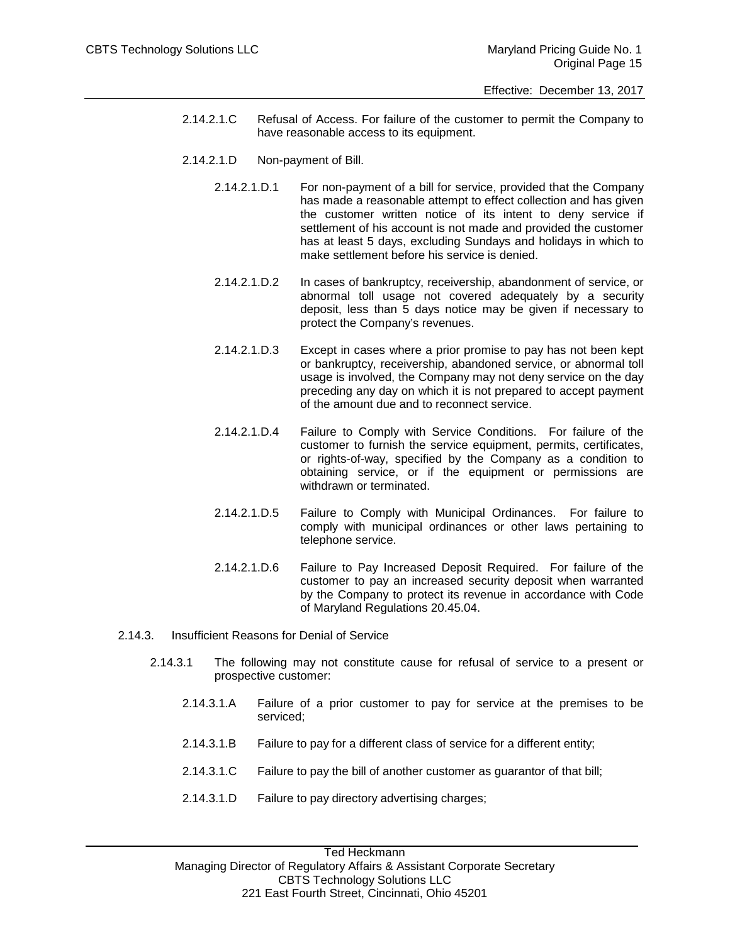- 2.14.2.1.C Refusal of Access. For failure of the customer to permit the Company to have reasonable access to its equipment.
- 2.14.2.1.D Non-payment of Bill.
	- 2.14.2.1.D.1 For non-payment of a bill for service, provided that the Company has made a reasonable attempt to effect collection and has given the customer written notice of its intent to deny service if settlement of his account is not made and provided the customer has at least 5 days, excluding Sundays and holidays in which to make settlement before his service is denied.
	- 2.14.2.1.D.2 In cases of bankruptcy, receivership, abandonment of service, or abnormal toll usage not covered adequately by a security deposit, less than 5 days notice may be given if necessary to protect the Company's revenues.
	- 2.14.2.1.D.3 Except in cases where a prior promise to pay has not been kept or bankruptcy, receivership, abandoned service, or abnormal toll usage is involved, the Company may not deny service on the day preceding any day on which it is not prepared to accept payment of the amount due and to reconnect service.
	- 2.14.2.1.D.4 Failure to Comply with Service Conditions. For failure of the customer to furnish the service equipment, permits, certificates, or rights-of-way, specified by the Company as a condition to obtaining service, or if the equipment or permissions are withdrawn or terminated.
	- 2.14.2.1.D.5 Failure to Comply with Municipal Ordinances. For failure to comply with municipal ordinances or other laws pertaining to telephone service.
	- 2.14.2.1.D.6 Failure to Pay Increased Deposit Required. For failure of the customer to pay an increased security deposit when warranted by the Company to protect its revenue in accordance with Code of Maryland Regulations 20.45.04.
- 2.14.3. Insufficient Reasons for Denial of Service
	- 2.14.3.1 The following may not constitute cause for refusal of service to a present or prospective customer:
		- 2.14.3.1.A Failure of a prior customer to pay for service at the premises to be serviced;
		- 2.14.3.1.B Failure to pay for a different class of service for a different entity;
		- 2.14.3.1.C Failure to pay the bill of another customer as guarantor of that bill;
		- 2.14.3.1.D Failure to pay directory advertising charges;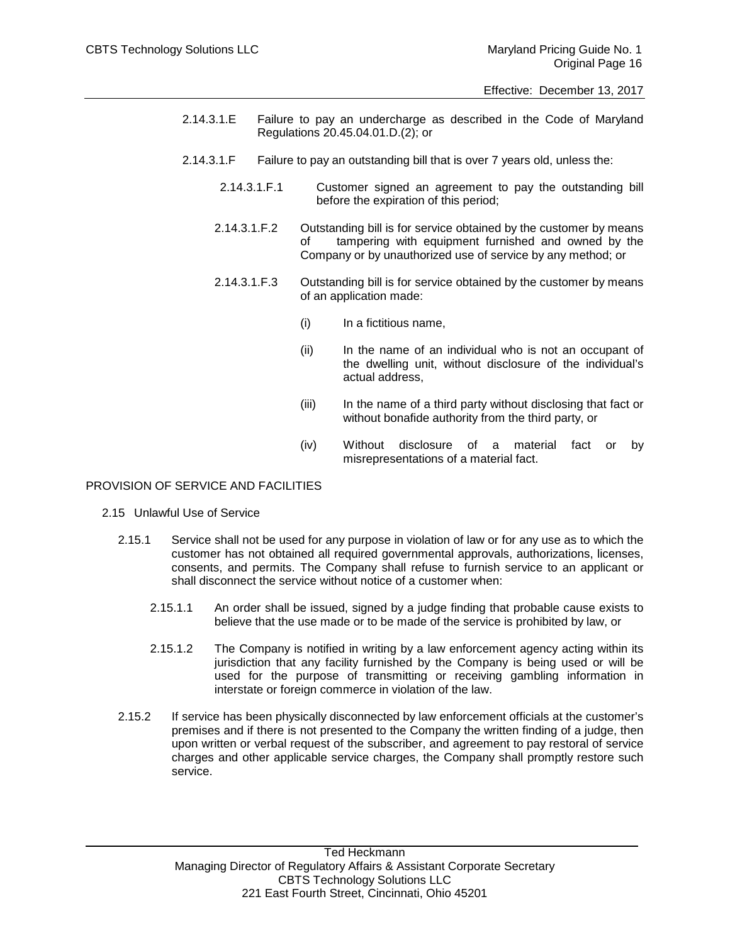- 2.14.3.1.E Failure to pay an undercharge as described in the Code of Maryland Regulations 20.45.04.01.D.(2); or
- 2.14.3.1.F Failure to pay an outstanding bill that is over 7 years old, unless the:
	- 2.14.3.1.F.1 Customer signed an agreement to pay the outstanding bill before the expiration of this period;
	- 2.14.3.1.F.2 Outstanding bill is for service obtained by the customer by means of tampering with equipment furnished and owned by the Company or by unauthorized use of service by any method; or
	- 2.14.3.1.F.3 Outstanding bill is for service obtained by the customer by means of an application made:
		- (i) In a fictitious name,
		- (ii) In the name of an individual who is not an occupant of the dwelling unit, without disclosure of the individual's actual address,
		- (iii) In the name of a third party without disclosing that fact or without bonafide authority from the third party, or
		- (iv) Without disclosure of a material fact or by misrepresentations of a material fact.

# PROVISION OF SERVICE AND FACILITIES

- 2.15 Unlawful Use of Service
	- 2.15.1 Service shall not be used for any purpose in violation of law or for any use as to which the customer has not obtained all required governmental approvals, authorizations, licenses, consents, and permits. The Company shall refuse to furnish service to an applicant or shall disconnect the service without notice of a customer when:
		- 2.15.1.1 An order shall be issued, signed by a judge finding that probable cause exists to believe that the use made or to be made of the service is prohibited by law, or
		- 2.15.1.2 The Company is notified in writing by a law enforcement agency acting within its jurisdiction that any facility furnished by the Company is being used or will be used for the purpose of transmitting or receiving gambling information in interstate or foreign commerce in violation of the law.
	- 2.15.2 If service has been physically disconnected by law enforcement officials at the customer's premises and if there is not presented to the Company the written finding of a judge, then upon written or verbal request of the subscriber, and agreement to pay restoral of service charges and other applicable service charges, the Company shall promptly restore such service.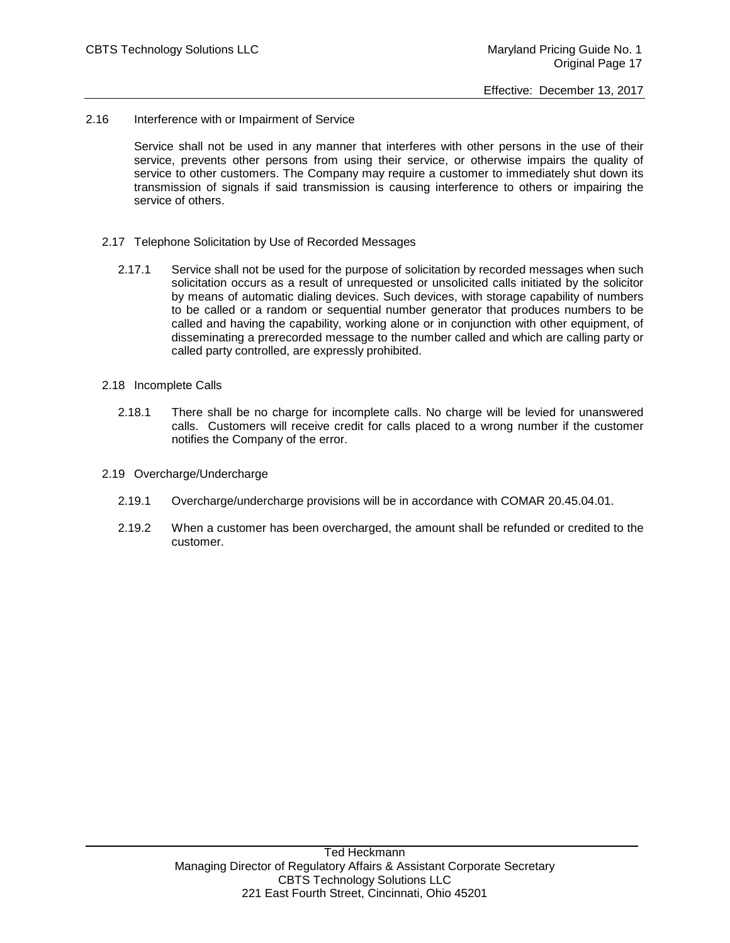2.16 Interference with or Impairment of Service

Service shall not be used in any manner that interferes with other persons in the use of their service, prevents other persons from using their service, or otherwise impairs the quality of service to other customers. The Company may require a customer to immediately shut down its transmission of signals if said transmission is causing interference to others or impairing the service of others.

- 2.17 Telephone Solicitation by Use of Recorded Messages
	- 2.17.1 Service shall not be used for the purpose of solicitation by recorded messages when such solicitation occurs as a result of unrequested or unsolicited calls initiated by the solicitor by means of automatic dialing devices. Such devices, with storage capability of numbers to be called or a random or sequential number generator that produces numbers to be called and having the capability, working alone or in conjunction with other equipment, of disseminating a prerecorded message to the number called and which are calling party or called party controlled, are expressly prohibited.
- 2.18 Incomplete Calls
	- 2.18.1 There shall be no charge for incomplete calls. No charge will be levied for unanswered calls. Customers will receive credit for calls placed to a wrong number if the customer notifies the Company of the error.
- 2.19 Overcharge/Undercharge
	- 2.19.1 Overcharge/undercharge provisions will be in accordance with COMAR 20.45.04.01.
	- 2.19.2 When a customer has been overcharged, the amount shall be refunded or credited to the customer.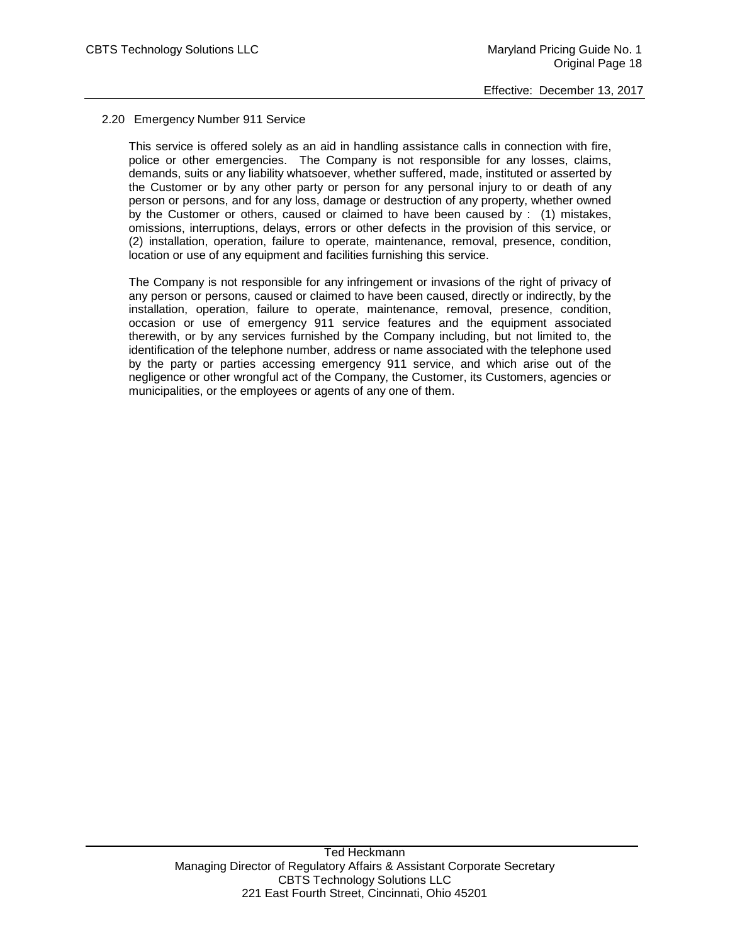### 2.20 Emergency Number 911 Service

This service is offered solely as an aid in handling assistance calls in connection with fire, police or other emergencies. The Company is not responsible for any losses, claims, demands, suits or any liability whatsoever, whether suffered, made, instituted or asserted by the Customer or by any other party or person for any personal injury to or death of any person or persons, and for any loss, damage or destruction of any property, whether owned by the Customer or others, caused or claimed to have been caused by : (1) mistakes, omissions, interruptions, delays, errors or other defects in the provision of this service, or (2) installation, operation, failure to operate, maintenance, removal, presence, condition, location or use of any equipment and facilities furnishing this service.

The Company is not responsible for any infringement or invasions of the right of privacy of any person or persons, caused or claimed to have been caused, directly or indirectly, by the installation, operation, failure to operate, maintenance, removal, presence, condition, occasion or use of emergency 911 service features and the equipment associated therewith, or by any services furnished by the Company including, but not limited to, the identification of the telephone number, address or name associated with the telephone used by the party or parties accessing emergency 911 service, and which arise out of the negligence or other wrongful act of the Company, the Customer, its Customers, agencies or municipalities, or the employees or agents of any one of them.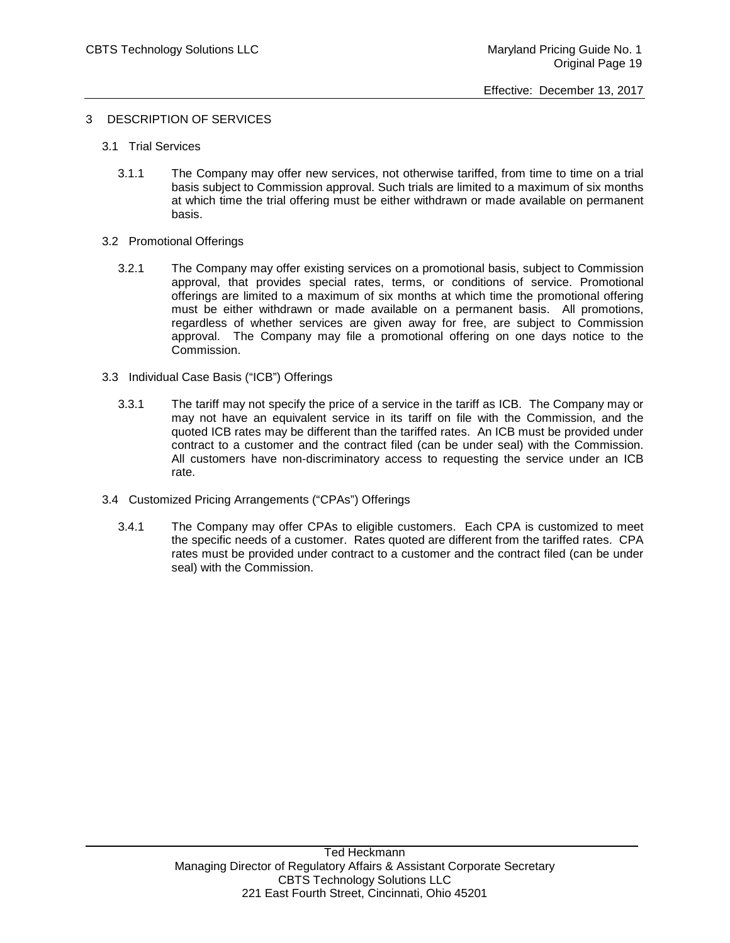### 3 DESCRIPTION OF SERVICES

- 3.1 Trial Services
	- 3.1.1 The Company may offer new services, not otherwise tariffed, from time to time on a trial basis subject to Commission approval. Such trials are limited to a maximum of six months at which time the trial offering must be either withdrawn or made available on permanent basis.
- 3.2 Promotional Offerings
	- 3.2.1 The Company may offer existing services on a promotional basis, subject to Commission approval, that provides special rates, terms, or conditions of service. Promotional offerings are limited to a maximum of six months at which time the promotional offering must be either withdrawn or made available on a permanent basis. All promotions, regardless of whether services are given away for free, are subject to Commission approval. The Company may file a promotional offering on one days notice to the Commission.
- 3.3 Individual Case Basis ("ICB") Offerings
	- 3.3.1 The tariff may not specify the price of a service in the tariff as ICB. The Company may or may not have an equivalent service in its tariff on file with the Commission, and the quoted ICB rates may be different than the tariffed rates. An ICB must be provided under contract to a customer and the contract filed (can be under seal) with the Commission. All customers have non-discriminatory access to requesting the service under an ICB rate.
- 3.4 Customized Pricing Arrangements ("CPAs") Offerings
	- 3.4.1 The Company may offer CPAs to eligible customers. Each CPA is customized to meet the specific needs of a customer. Rates quoted are different from the tariffed rates. CPA rates must be provided under contract to a customer and the contract filed (can be under seal) with the Commission.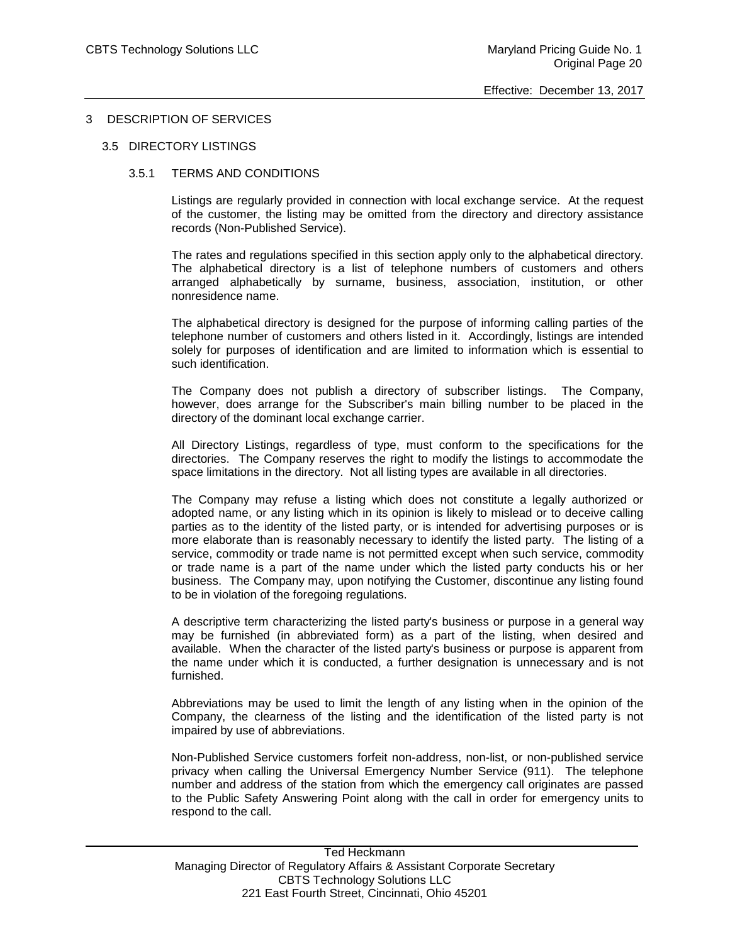### 3 DESCRIPTION OF SERVICES

### 3.5 DIRECTORY LISTINGS

### 3.5.1 TERMS AND CONDITIONS

Listings are regularly provided in connection with local exchange service. At the request of the customer, the listing may be omitted from the directory and directory assistance records (Non-Published Service).

The rates and regulations specified in this section apply only to the alphabetical directory. The alphabetical directory is a list of telephone numbers of customers and others arranged alphabetically by surname, business, association, institution, or other nonresidence name.

The alphabetical directory is designed for the purpose of informing calling parties of the telephone number of customers and others listed in it. Accordingly, listings are intended solely for purposes of identification and are limited to information which is essential to such identification.

The Company does not publish a directory of subscriber listings. The Company, however, does arrange for the Subscriber's main billing number to be placed in the directory of the dominant local exchange carrier.

All Directory Listings, regardless of type, must conform to the specifications for the directories. The Company reserves the right to modify the listings to accommodate the space limitations in the directory. Not all listing types are available in all directories.

The Company may refuse a listing which does not constitute a legally authorized or adopted name, or any listing which in its opinion is likely to mislead or to deceive calling parties as to the identity of the listed party, or is intended for advertising purposes or is more elaborate than is reasonably necessary to identify the listed party. The listing of a service, commodity or trade name is not permitted except when such service, commodity or trade name is a part of the name under which the listed party conducts his or her business. The Company may, upon notifying the Customer, discontinue any listing found to be in violation of the foregoing regulations.

A descriptive term characterizing the listed party's business or purpose in a general way may be furnished (in abbreviated form) as a part of the listing, when desired and available. When the character of the listed party's business or purpose is apparent from the name under which it is conducted, a further designation is unnecessary and is not furnished.

Abbreviations may be used to limit the length of any listing when in the opinion of the Company, the clearness of the listing and the identification of the listed party is not impaired by use of abbreviations.

Non-Published Service customers forfeit non-address, non-list, or non-published service privacy when calling the Universal Emergency Number Service (911). The telephone number and address of the station from which the emergency call originates are passed to the Public Safety Answering Point along with the call in order for emergency units to respond to the call.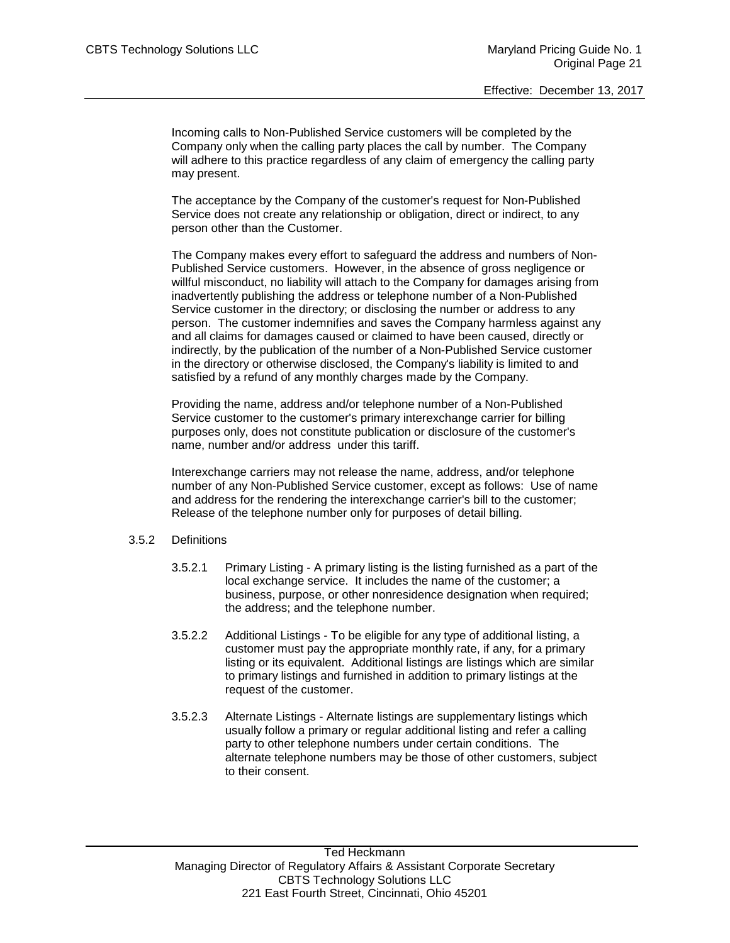Incoming calls to Non-Published Service customers will be completed by the Company only when the calling party places the call by number. The Company will adhere to this practice regardless of any claim of emergency the calling party may present.

The acceptance by the Company of the customer's request for Non-Published Service does not create any relationship or obligation, direct or indirect, to any person other than the Customer.

The Company makes every effort to safeguard the address and numbers of Non-Published Service customers. However, in the absence of gross negligence or willful misconduct, no liability will attach to the Company for damages arising from inadvertently publishing the address or telephone number of a Non-Published Service customer in the directory; or disclosing the number or address to any person. The customer indemnifies and saves the Company harmless against any and all claims for damages caused or claimed to have been caused, directly or indirectly, by the publication of the number of a Non-Published Service customer in the directory or otherwise disclosed, the Company's liability is limited to and satisfied by a refund of any monthly charges made by the Company.

Providing the name, address and/or telephone number of a Non-Published Service customer to the customer's primary interexchange carrier for billing purposes only, does not constitute publication or disclosure of the customer's name, number and/or address under this tariff.

Interexchange carriers may not release the name, address, and/or telephone number of any Non-Published Service customer, except as follows: Use of name and address for the rendering the interexchange carrier's bill to the customer; Release of the telephone number only for purposes of detail billing.

# 3.5.2 Definitions

- 3.5.2.1 Primary Listing A primary listing is the listing furnished as a part of the local exchange service. It includes the name of the customer; a business, purpose, or other nonresidence designation when required; the address; and the telephone number.
- 3.5.2.2 Additional Listings To be eligible for any type of additional listing, a customer must pay the appropriate monthly rate, if any, for a primary listing or its equivalent. Additional listings are listings which are similar to primary listings and furnished in addition to primary listings at the request of the customer.
- 3.5.2.3 Alternate Listings Alternate listings are supplementary listings which usually follow a primary or regular additional listing and refer a calling party to other telephone numbers under certain conditions. The alternate telephone numbers may be those of other customers, subject to their consent.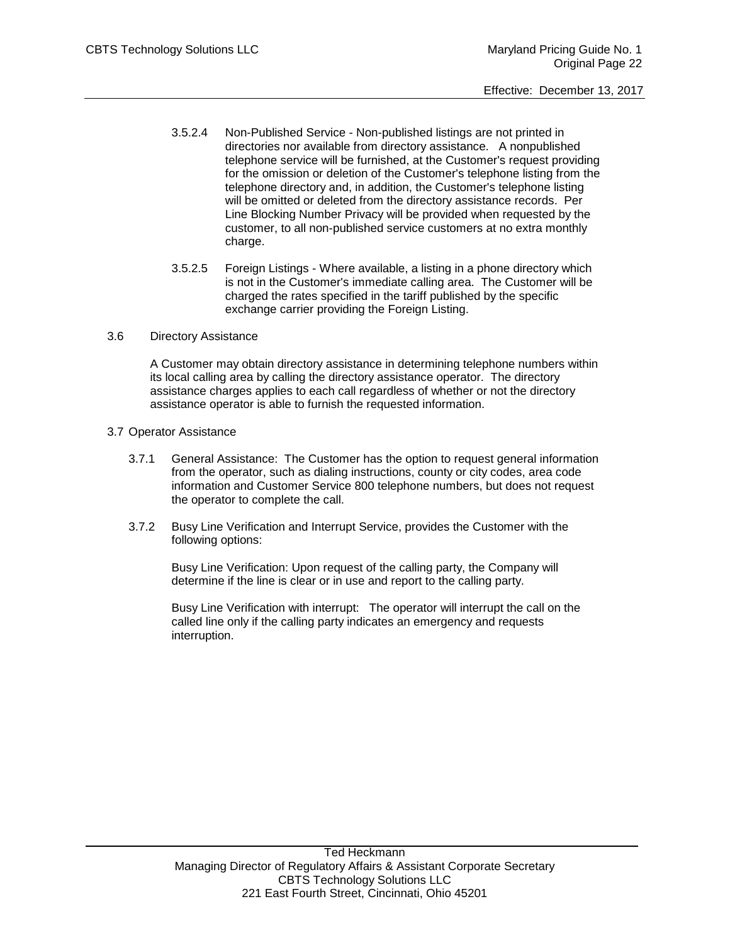- 3.5.2.4 Non-Published Service Non-published listings are not printed in directories nor available from directory assistance. A nonpublished telephone service will be furnished, at the Customer's request providing for the omission or deletion of the Customer's telephone listing from the telephone directory and, in addition, the Customer's telephone listing will be omitted or deleted from the directory assistance records. Per Line Blocking Number Privacy will be provided when requested by the customer, to all non-published service customers at no extra monthly charge.
- 3.5.2.5 Foreign Listings Where available, a listing in a phone directory which is not in the Customer's immediate calling area. The Customer will be charged the rates specified in the tariff published by the specific exchange carrier providing the Foreign Listing.

# 3.6 Directory Assistance

A Customer may obtain directory assistance in determining telephone numbers within its local calling area by calling the directory assistance operator. The directory assistance charges applies to each call regardless of whether or not the directory assistance operator is able to furnish the requested information.

# 3.7 Operator Assistance

- 3.7.1 General Assistance: The Customer has the option to request general information from the operator, such as dialing instructions, county or city codes, area code information and Customer Service 800 telephone numbers, but does not request the operator to complete the call.
- 3.7.2 Busy Line Verification and Interrupt Service, provides the Customer with the following options:

Busy Line Verification: Upon request of the calling party, the Company will determine if the line is clear or in use and report to the calling party.

Busy Line Verification with interrupt: The operator will interrupt the call on the called line only if the calling party indicates an emergency and requests interruption.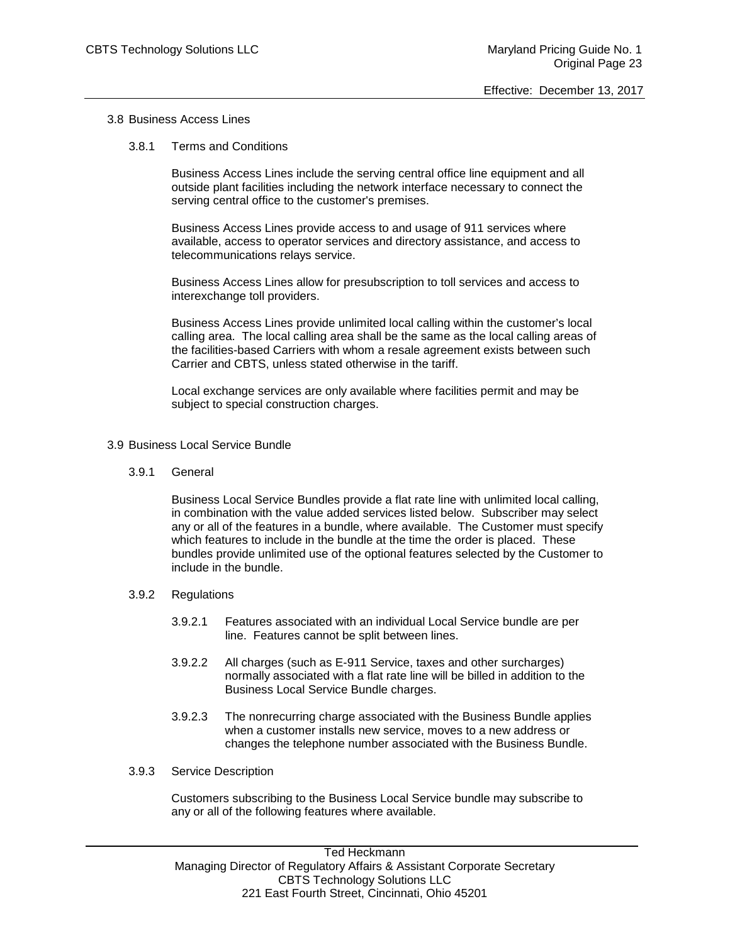### 3.8 Business Access Lines

### 3.8.1 Terms and Conditions

Business Access Lines include the serving central office line equipment and all outside plant facilities including the network interface necessary to connect the serving central office to the customer's premises.

Business Access Lines provide access to and usage of 911 services where available, access to operator services and directory assistance, and access to telecommunications relays service.

Business Access Lines allow for presubscription to toll services and access to interexchange toll providers.

Business Access Lines provide unlimited local calling within the customer's local calling area. The local calling area shall be the same as the local calling areas of the facilities-based Carriers with whom a resale agreement exists between such Carrier and CBTS, unless stated otherwise in the tariff.

Local exchange services are only available where facilities permit and may be subject to special construction charges.

- 3.9 Business Local Service Bundle
	- 3.9.1 General

Business Local Service Bundles provide a flat rate line with unlimited local calling, in combination with the value added services listed below. Subscriber may select any or all of the features in a bundle, where available. The Customer must specify which features to include in the bundle at the time the order is placed. These bundles provide unlimited use of the optional features selected by the Customer to include in the bundle.

- 3.9.2 Regulations
	- 3.9.2.1 Features associated with an individual Local Service bundle are per line. Features cannot be split between lines.
	- 3.9.2.2 All charges (such as E-911 Service, taxes and other surcharges) normally associated with a flat rate line will be billed in addition to the Business Local Service Bundle charges.
	- 3.9.2.3 The nonrecurring charge associated with the Business Bundle applies when a customer installs new service, moves to a new address or changes the telephone number associated with the Business Bundle.
- 3.9.3 Service Description

Customers subscribing to the Business Local Service bundle may subscribe to any or all of the following features where available.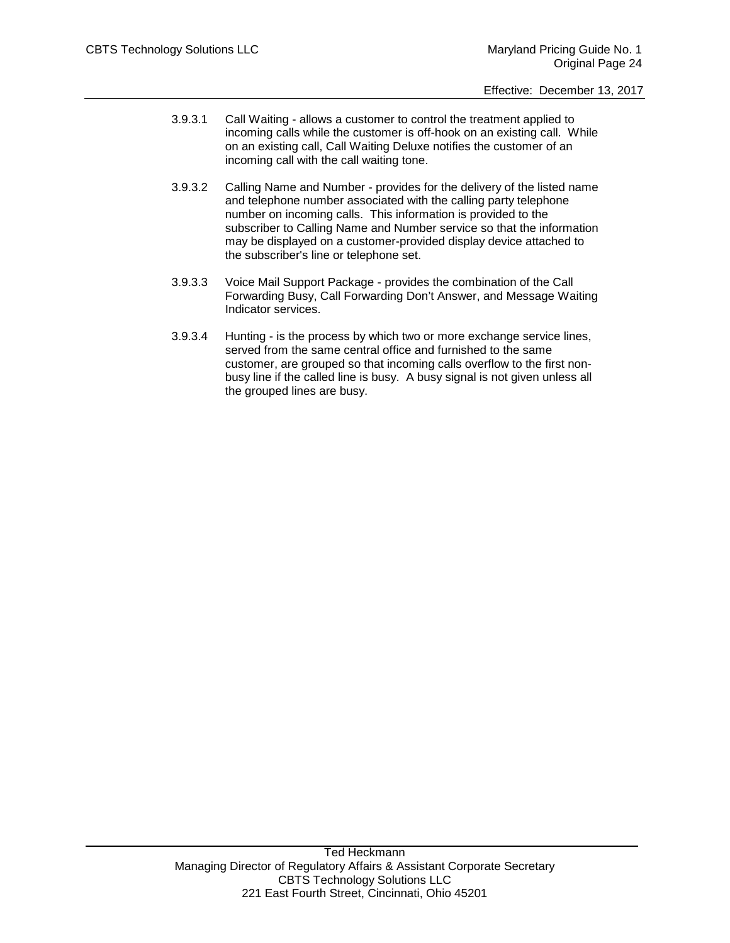- 3.9.3.1 Call Waiting allows a customer to control the treatment applied to incoming calls while the customer is off-hook on an existing call. While on an existing call, Call Waiting Deluxe notifies the customer of an incoming call with the call waiting tone.
- 3.9.3.2 Calling Name and Number provides for the delivery of the listed name and telephone number associated with the calling party telephone number on incoming calls. This information is provided to the subscriber to Calling Name and Number service so that the information may be displayed on a customer-provided display device attached to the subscriber's line or telephone set.
- 3.9.3.3 Voice Mail Support Package provides the combination of the Call Forwarding Busy, Call Forwarding Don't Answer, and Message Waiting Indicator services.
- 3.9.3.4 Hunting is the process by which two or more exchange service lines, served from the same central office and furnished to the same customer, are grouped so that incoming calls overflow to the first nonbusy line if the called line is busy. A busy signal is not given unless all the grouped lines are busy.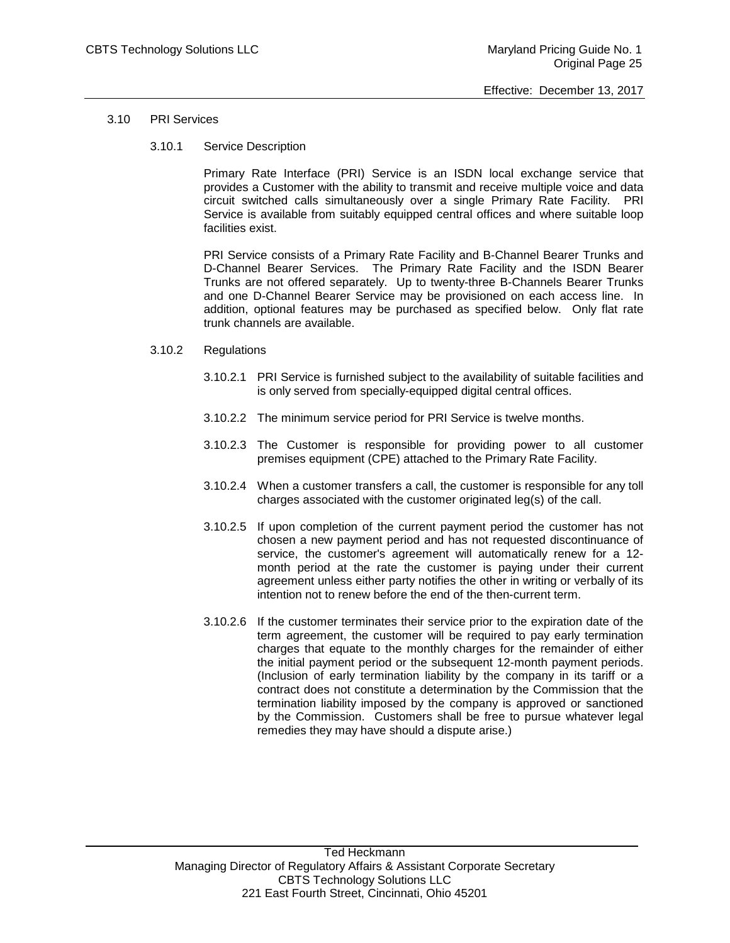### 3.10 PRI Services

3.10.1 Service Description

Primary Rate Interface (PRI) Service is an ISDN local exchange service that provides a Customer with the ability to transmit and receive multiple voice and data circuit switched calls simultaneously over a single Primary Rate Facility. PRI Service is available from suitably equipped central offices and where suitable loop facilities exist.

PRI Service consists of a Primary Rate Facility and B-Channel Bearer Trunks and D-Channel Bearer Services. The Primary Rate Facility and the ISDN Bearer Trunks are not offered separately. Up to twenty-three B-Channels Bearer Trunks and one D-Channel Bearer Service may be provisioned on each access line. In addition, optional features may be purchased as specified below. Only flat rate trunk channels are available.

#### 3.10.2 Regulations

- 3.10.2.1 PRI Service is furnished subject to the availability of suitable facilities and is only served from specially-equipped digital central offices.
- 3.10.2.2 The minimum service period for PRI Service is twelve months.
- 3.10.2.3 The Customer is responsible for providing power to all customer premises equipment (CPE) attached to the Primary Rate Facility.
- 3.10.2.4 When a customer transfers a call, the customer is responsible for any toll charges associated with the customer originated leg(s) of the call.
- 3.10.2.5 If upon completion of the current payment period the customer has not chosen a new payment period and has not requested discontinuance of service, the customer's agreement will automatically renew for a 12 month period at the rate the customer is paying under their current agreement unless either party notifies the other in writing or verbally of its intention not to renew before the end of the then-current term.
- 3.10.2.6 If the customer terminates their service prior to the expiration date of the term agreement, the customer will be required to pay early termination charges that equate to the monthly charges for the remainder of either the initial payment period or the subsequent 12-month payment periods. (Inclusion of early termination liability by the company in its tariff or a contract does not constitute a determination by the Commission that the termination liability imposed by the company is approved or sanctioned by the Commission. Customers shall be free to pursue whatever legal remedies they may have should a dispute arise.)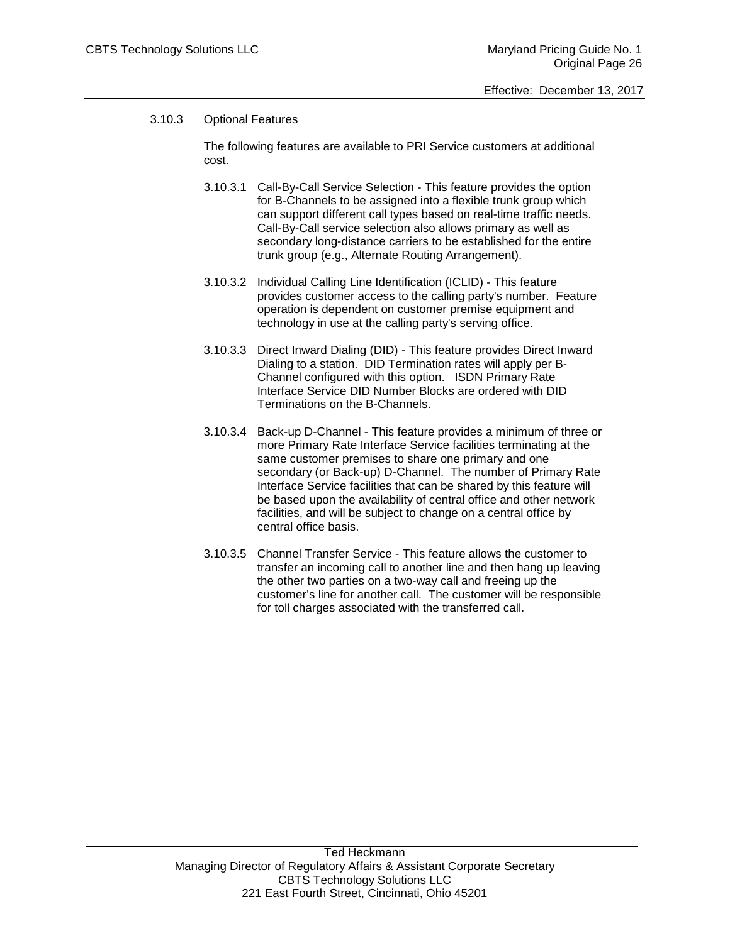# 3.10.3 Optional Features

The following features are available to PRI Service customers at additional cost.

- 3.10.3.1 Call-By-Call Service Selection This feature provides the option for B-Channels to be assigned into a flexible trunk group which can support different call types based on real-time traffic needs. Call-By-Call service selection also allows primary as well as secondary long-distance carriers to be established for the entire trunk group (e.g., Alternate Routing Arrangement).
- 3.10.3.2 Individual Calling Line Identification (ICLID) This feature provides customer access to the calling party's number. Feature operation is dependent on customer premise equipment and technology in use at the calling party's serving office.
- 3.10.3.3 Direct Inward Dialing (DID) This feature provides Direct Inward Dialing to a station. DID Termination rates will apply per B-Channel configured with this option. ISDN Primary Rate Interface Service DID Number Blocks are ordered with DID Terminations on the B-Channels.
- 3.10.3.4 Back-up D-Channel This feature provides a minimum of three or more Primary Rate Interface Service facilities terminating at the same customer premises to share one primary and one secondary (or Back-up) D-Channel. The number of Primary Rate Interface Service facilities that can be shared by this feature will be based upon the availability of central office and other network facilities, and will be subject to change on a central office by central office basis.
- 3.10.3.5 Channel Transfer Service This feature allows the customer to transfer an incoming call to another line and then hang up leaving the other two parties on a two-way call and freeing up the customer's line for another call. The customer will be responsible for toll charges associated with the transferred call.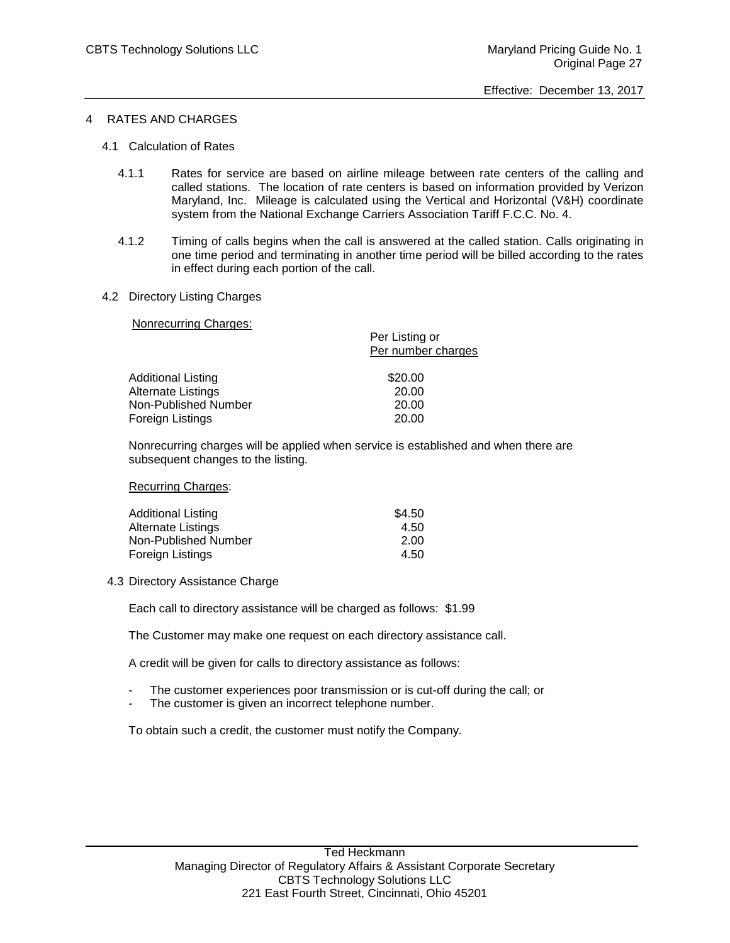# 4 RATES AND CHARGES

- 4.1 Calculation of Rates
	- 4.1.1 Rates for service are based on airline mileage between rate centers of the calling and called stations. The location of rate centers is based on information provided by Verizon Maryland, Inc. Mileage is calculated using the Vertical and Horizontal (V&H) coordinate system from the National Exchange Carriers Association Tariff F.C.C. No. 4.
	- 4.1.2 Timing of calls begins when the call is answered at the called station. Calls originating in one time period and terminating in another time period will be billed according to the rates in effect during each portion of the call.
- 4.2 Directory Listing Charges

Nonrecurring Charges:

| Per Listing or     |
|--------------------|
| Per number charges |
| \$20.00            |
|                    |
| 20.00              |
| 20.00              |
| 20.00              |
|                    |

Nonrecurring charges will be applied when service is established and when there are subsequent changes to the listing.

Recurring Charges:

| Additional Listing   | \$4.50 |
|----------------------|--------|
| Alternate Listings   | 4.50   |
| Non-Published Number | 2.00   |
| Foreign Listings     | 4.50   |

4.3 Directory Assistance Charge

Each call to directory assistance will be charged as follows: \$1.99

The Customer may make one request on each directory assistance call.

A credit will be given for calls to directory assistance as follows:

- The customer experiences poor transmission or is cut-off during the call; or
- The customer is given an incorrect telephone number.

To obtain such a credit, the customer must notify the Company.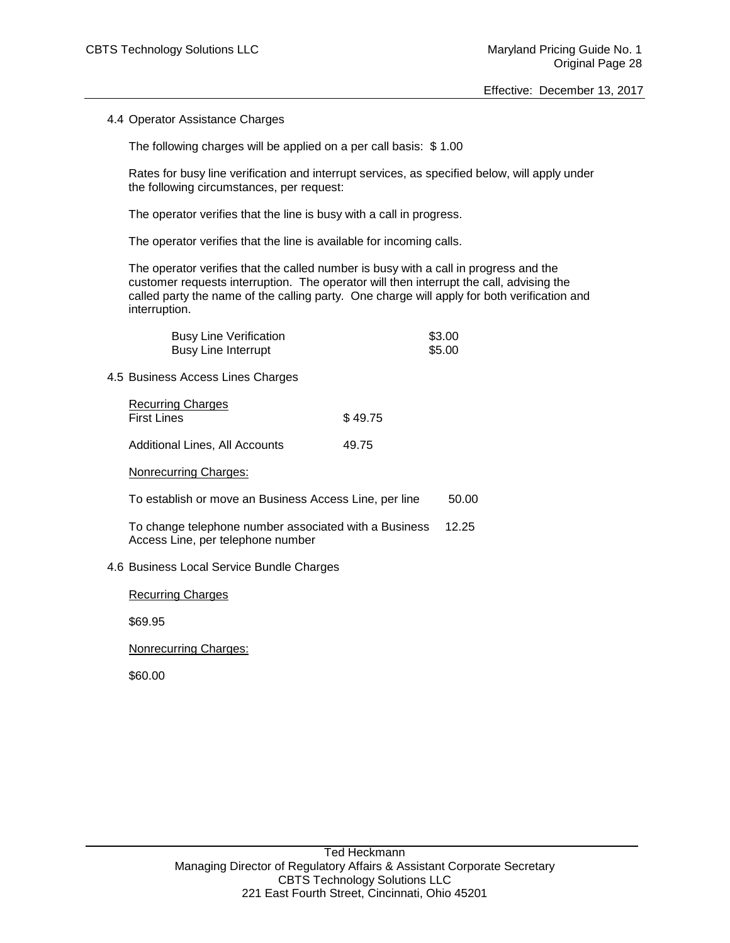4.4 Operator Assistance Charges

The following charges will be applied on a per call basis: \$ 1.00

Rates for busy line verification and interrupt services, as specified below, will apply under the following circumstances, per request:

The operator verifies that the line is busy with a call in progress.

The operator verifies that the line is available for incoming calls.

The operator verifies that the called number is busy with a call in progress and the customer requests interruption. The operator will then interrupt the call, advising the called party the name of the calling party. One charge will apply for both verification and interruption.

| <b>Busy Line Verification</b> | \$3.00 |
|-------------------------------|--------|
| Busy Line Interrupt           | \$5.00 |

4.5 Business Access Lines Charges

| <b>Recurring Charges</b><br><b>First Lines</b> | \$49.75 |
|------------------------------------------------|---------|
| Additional Lines, All Accounts                 | 49.75   |

### Nonrecurring Charges:

To establish or move an Business Access Line, per line 50.00

To change telephone number associated with a Business 12.25 Access Line, per telephone number

# 4.6 Business Local Service Bundle Charges

Recurring Charges

\$69.95

Nonrecurring Charges:

\$60.00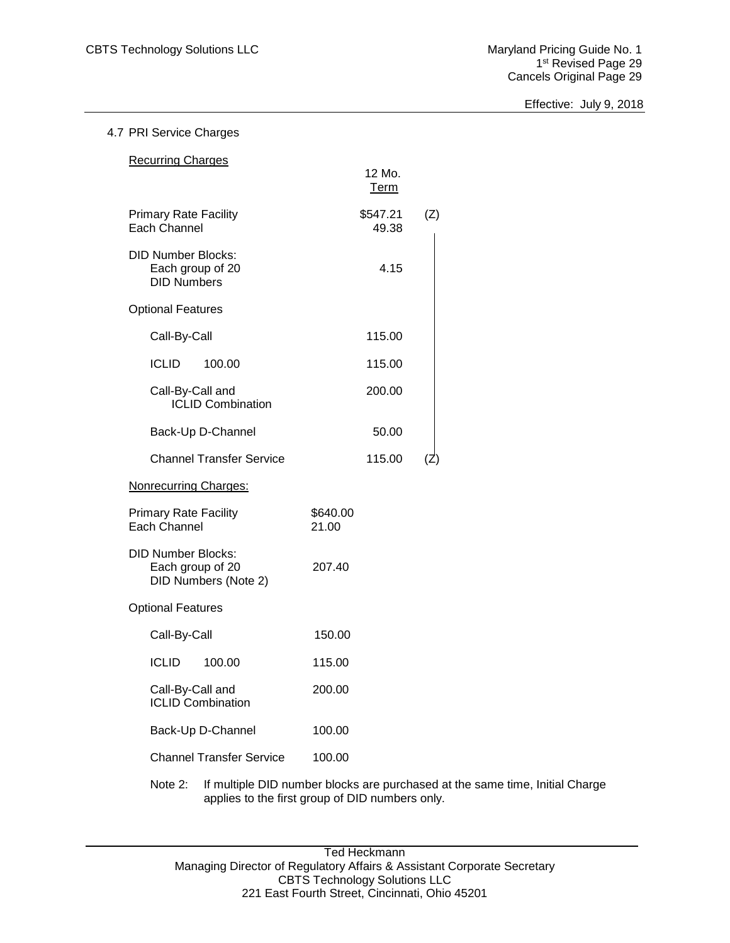Effective: July 9, 2018

# 4.7 PRI Service Charges

| <b>Recurring Charges</b>                                              |                   |     |
|-----------------------------------------------------------------------|-------------------|-----|
|                                                                       | 12 Mo.<br>Term    |     |
| <b>Primary Rate Facility</b><br><b>Each Channel</b>                   | \$547.21<br>49.38 | (Z) |
| <b>DID Number Blocks:</b><br>Each group of 20<br><b>DID Numbers</b>   | 4.15              |     |
| <b>Optional Features</b>                                              |                   |     |
| Call-By-Call                                                          | 115.00            |     |
| ICLID<br>100.00                                                       | 115.00            |     |
| Call-By-Call and<br><b>ICLID Combination</b>                          | 200.00            |     |
| Back-Up D-Channel                                                     | 50.00             |     |
| <b>Channel Transfer Service</b>                                       | 115.00            |     |
| <b>Nonrecurring Charges:</b>                                          |                   |     |
| <b>Primary Rate Facility</b><br>Each Channel                          | \$640.00<br>21.00 |     |
| <b>DID Number Blocks:</b><br>Each group of 20<br>DID Numbers (Note 2) | 207.40            |     |
| <b>Optional Features</b>                                              |                   |     |
| Call-By-Call                                                          | 150.00            |     |
| ICLID<br>100.00                                                       | 115.00            |     |
| Call-By-Call and<br><b>ICLID Combination</b>                          | 200.00            |     |
| Back-Up D-Channel                                                     | 100.00            |     |
| <b>Channel Transfer Service</b>                                       | 100.00            |     |
| to Quelli population DID proposition in location                      |                   |     |

Note 2: If multiple DID number blocks are purchased at the same time, Initial Charge applies to the first group of DID numbers only.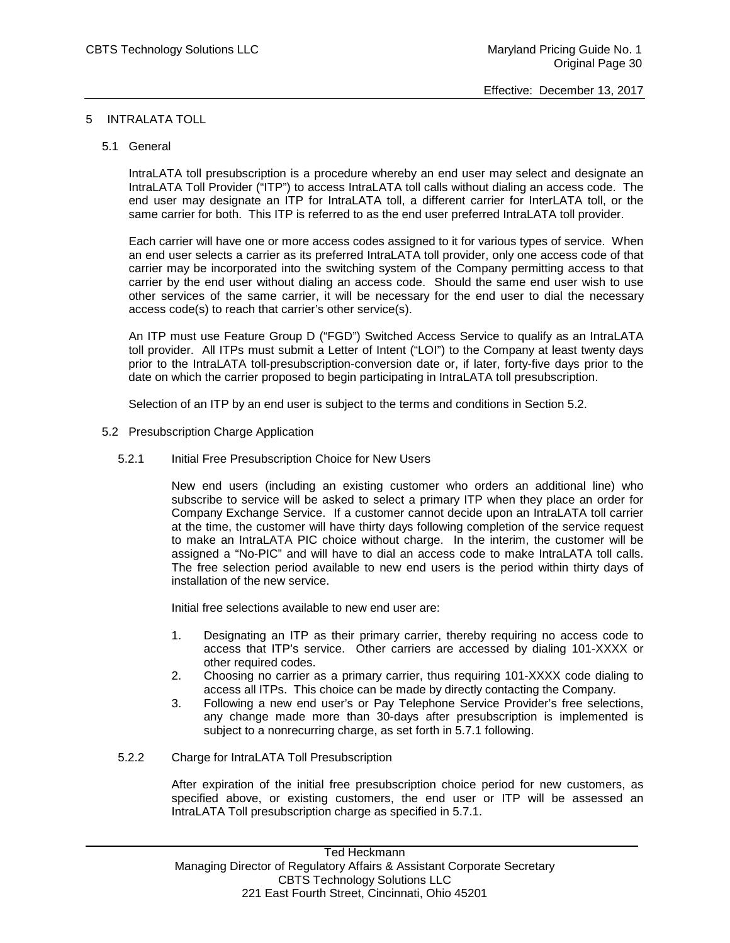# 5 INTRALATA TOLL

### 5.1 General

IntraLATA toll presubscription is a procedure whereby an end user may select and designate an IntraLATA Toll Provider ("ITP") to access IntraLATA toll calls without dialing an access code. The end user may designate an ITP for IntraLATA toll, a different carrier for InterLATA toll, or the same carrier for both. This ITP is referred to as the end user preferred IntraLATA toll provider.

Each carrier will have one or more access codes assigned to it for various types of service. When an end user selects a carrier as its preferred IntraLATA toll provider, only one access code of that carrier may be incorporated into the switching system of the Company permitting access to that carrier by the end user without dialing an access code. Should the same end user wish to use other services of the same carrier, it will be necessary for the end user to dial the necessary access code(s) to reach that carrier's other service(s).

An ITP must use Feature Group D ("FGD") Switched Access Service to qualify as an IntraLATA toll provider. All ITPs must submit a Letter of Intent ("LOI") to the Company at least twenty days prior to the IntraLATA toll-presubscription-conversion date or, if later, forty-five days prior to the date on which the carrier proposed to begin participating in IntraLATA toll presubscription.

Selection of an ITP by an end user is subject to the terms and conditions in Section 5.2.

- 5.2 Presubscription Charge Application
	- 5.2.1 Initial Free Presubscription Choice for New Users

New end users (including an existing customer who orders an additional line) who subscribe to service will be asked to select a primary ITP when they place an order for Company Exchange Service. If a customer cannot decide upon an IntraLATA toll carrier at the time, the customer will have thirty days following completion of the service request to make an IntraLATA PIC choice without charge. In the interim, the customer will be assigned a "No-PIC" and will have to dial an access code to make IntraLATA toll calls. The free selection period available to new end users is the period within thirty days of installation of the new service.

Initial free selections available to new end user are:

- 1. Designating an ITP as their primary carrier, thereby requiring no access code to access that ITP's service. Other carriers are accessed by dialing 101-XXXX or other required codes.
- 2. Choosing no carrier as a primary carrier, thus requiring 101-XXXX code dialing to access all ITPs. This choice can be made by directly contacting the Company.
- 3. Following a new end user's or Pay Telephone Service Provider's free selections, any change made more than 30-days after presubscription is implemented is subject to a nonrecurring charge, as set forth in 5.7.1 following.
- 5.2.2 Charge for IntraLATA Toll Presubscription

After expiration of the initial free presubscription choice period for new customers, as specified above, or existing customers, the end user or ITP will be assessed an IntraLATA Toll presubscription charge as specified in 5.7.1.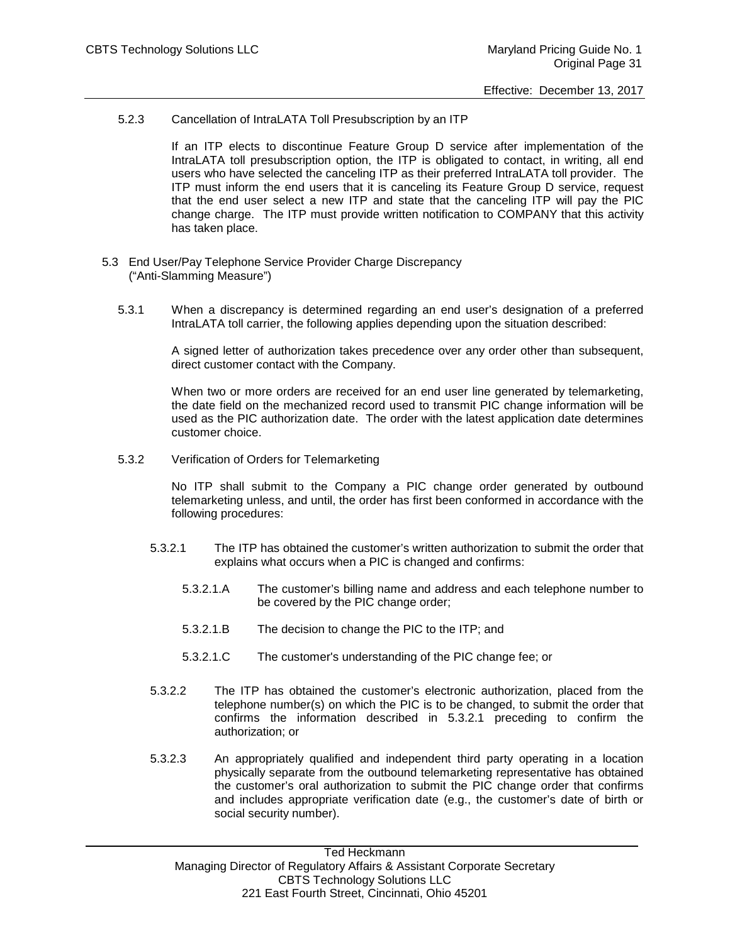5.2.3 Cancellation of IntraLATA Toll Presubscription by an ITP

If an ITP elects to discontinue Feature Group D service after implementation of the IntraLATA toll presubscription option, the ITP is obligated to contact, in writing, all end users who have selected the canceling ITP as their preferred IntraLATA toll provider. The ITP must inform the end users that it is canceling its Feature Group D service, request that the end user select a new ITP and state that the canceling ITP will pay the PIC change charge. The ITP must provide written notification to COMPANY that this activity has taken place.

- 5.3 End User/Pay Telephone Service Provider Charge Discrepancy ("Anti-Slamming Measure")
	- 5.3.1 When a discrepancy is determined regarding an end user's designation of a preferred IntraLATA toll carrier, the following applies depending upon the situation described:

A signed letter of authorization takes precedence over any order other than subsequent, direct customer contact with the Company.

When two or more orders are received for an end user line generated by telemarketing, the date field on the mechanized record used to transmit PIC change information will be used as the PIC authorization date. The order with the latest application date determines customer choice.

5.3.2 Verification of Orders for Telemarketing

No ITP shall submit to the Company a PIC change order generated by outbound telemarketing unless, and until, the order has first been conformed in accordance with the following procedures:

- 5.3.2.1 The ITP has obtained the customer's written authorization to submit the order that explains what occurs when a PIC is changed and confirms:
	- 5.3.2.1.A The customer's billing name and address and each telephone number to be covered by the PIC change order;
	- 5.3.2.1.B The decision to change the PIC to the ITP; and
	- 5.3.2.1.C The customer's understanding of the PIC change fee; or
- 5.3.2.2 The ITP has obtained the customer's electronic authorization, placed from the telephone number(s) on which the PIC is to be changed, to submit the order that confirms the information described in 5.3.2.1 preceding to confirm the authorization; or
- 5.3.2.3 An appropriately qualified and independent third party operating in a location physically separate from the outbound telemarketing representative has obtained the customer's oral authorization to submit the PIC change order that confirms and includes appropriate verification date (e.g., the customer's date of birth or social security number).